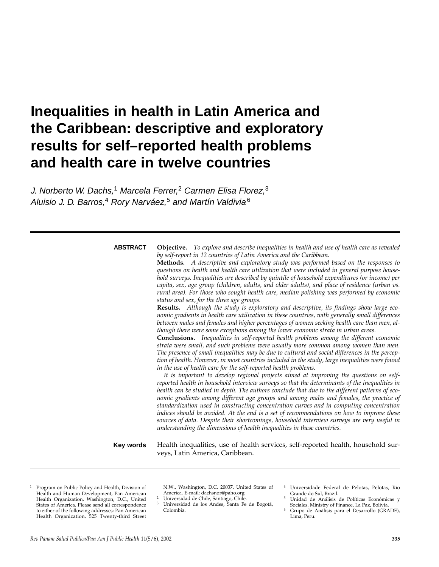# **Inequalities in health in Latin America and the Caribbean: descriptive and exploratory results for self–reported health problems and health care in twelve countries**

J. Norberto W. Dachs,<sup>1</sup> Marcela Ferrer,<sup>2</sup> Carmen Elisa Florez,<sup>3</sup> Aluisio J. D. Barros,<sup>4</sup> Rory Narváez,<sup>5</sup> and Martín Valdivia<sup>6</sup>

#### **ABSTRACT**

*by self-report in 12 countries of Latin America and the Caribbean.* **Methods.** *A descriptive and exploratory study was performed based on the responses to questions on health and health care utilization that were included in general purpose household surveys. Inequalities are described by quintile of household expenditures (or income) per capita, sex, age group (children, adults, and older adults), and place of residence (urban vs. rural area). For those who sought health care, median polishing was performed by economic status and sex, for the three age groups.*

**Objective.** *To explore and describe inequalities in health and use of health care as revealed*

**Results.** *Although the study is exploratory and descriptive, its findings show large economic gradients in health care utilization in these countries, with generally small differences between males and females and higher percentages of women seeking health care than men, although there were some exceptions among the lower economic strata in urban areas.*

**Conclusions.** *Inequalities in self-reported health problems among the different economic strata were small, and such problems were usually more common among women than men. The presence of small inequalities may be due to cultural and social differences in the perception of health. However, in most countries included in the study, large inequalities were found in the use of health care for the self-reported health problems.* 

*It is important to develop regional projects aimed at improving the questions on selfreported health in household interview surveys so that the determinants of the inequalities in health can be studied in depth. The authors conclude that due to the different patterns of economic gradients among different age groups and among males and females, the practice of standardization used in constructing concentration curves and in computing concentration indices should be avoided. At the end is a set of recommendations on how to improve these sources of data. Despite their shortcomings, household interview surveys are very useful in understanding the dimensions of health inequalities in these countries.*

Health inequalities, use of health services, self-reported health, household surveys, Latin America, Caribbean. **Key words**

<sup>1</sup> Program on Public Policy and Health, Division of Health and Human Development, Pan American Health Organization, Washington, D.C., United States of America. Please send all correspondence to either of the following addresses: Pan American Health Organization, 525 Twenty-third Street

N.W., Washington, D.C. 20037, United States of America. E-mail: dachsnor@paho.org

- <sup>2</sup> Universidad de Chile, Santiago, Chile.
- Universidad de los Andes, Santa Fe de Bogotá, Colombia.
- <sup>4</sup> Universidade Federal de Pelotas, Pelotas, Rio Grande do Sul, Brazil.
- <sup>5</sup> Unidad de Análisis de Políticas Económicas y Sociales, Ministry of Finance, La Paz, Bolivia.
- <sup>6</sup> Grupo de Análisis para el Desarrollo (GRADE), Lima, Peru.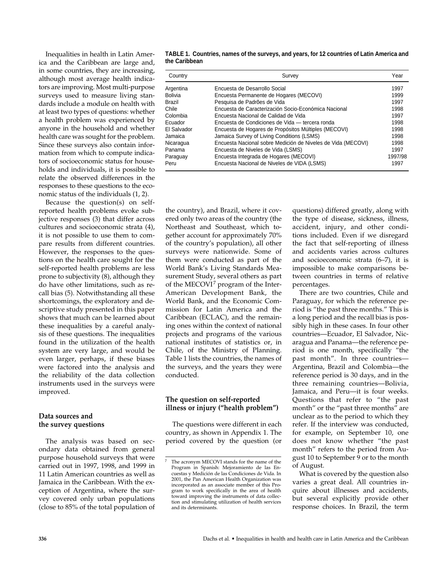Inequalities in health in Latin America and the Caribbean are large and, in some countries, they are increasing, although most average health indicators are improving. Most multi-purpose surveys used to measure living standards include a module on health with at least two types of questions: whether a health problem was experienced by anyone in the household and whether health care was sought for the problem. Since these surveys also contain information from which to compute indicators of socioeconomic status for households and individuals, it is possible to relate the observed differences in the responses to these questions to the economic status of the individuals (1, 2).

Because the question(s) on selfreported health problems evoke subjective responses (3) that differ across cultures and socioeconomic strata (4), it is not possible to use them to compare results from different countries. However, the responses to the questions on the health care sought for the self-reported health problems are less prone to subjectivity (8), although they do have other limitations, such as recall bias (5). Notwithstanding all these shortcomings, the exploratory and descriptive study presented in this paper shows that much can be learned about these inequalities by a careful analysis of these questions. The inequalities found in the utilization of the health system are very large, and would be even larger, perhaps, if these biases were factored into the analysis and the reliability of the data collection instruments used in the surveys were improved.

# **Data sources and the survey questions**

The analysis was based on secondary data obtained from general purpose household surveys that were carried out in 1997, 1998, and 1999 in 11 Latin American countries as well as Jamaica in the Caribbean. With the exception of Argentina, where the survey covered only urban populations (close to 85% of the total population of

| TABLE 1. Countries, names of the surveys, and years, for 12 countries of Latin America and |
|--------------------------------------------------------------------------------------------|
| the Caribbean                                                                              |

| Country     | Survey                                                       | Year    |
|-------------|--------------------------------------------------------------|---------|
| Argentina   | Encuesta de Desarrollo Social                                | 1997    |
| Bolivia     | Encuesta Permanente de Hogares (MECOVI)                      | 1999    |
| Brazil      | Pesquisa de Padrões de Vida                                  | 1997    |
| Chile       | Encuesta de Caracterización Socio-Económica Nacional         | 1998    |
| Colombia    | Encuesta Nacional de Calidad de Vida                         | 1997    |
| Ecuador     | Encuesta de Condiciones de Vida — tercera ronda              | 1998    |
| El Salvador | Encuesta de Hogares de Propósitos Múltiples (MECOVI)         | 1998    |
| Jamaica     | Jamaica Survey of Living Conditions (LSMS)                   | 1998    |
| Nicaragua   | Encuesta Nacional sobre Medición de Niveles de Vida (MECOVI) | 1998    |
| Panama      | Encuesta de Niveles de Vida (LSMS)                           | 1997    |
| Paraguay    | Encuesta Integrada de Hogares (MECOVI)                       | 1997/98 |
| Peru        | Encuesta Nacional de Niveles de VIDA (LSMS)                  | 1997    |

the country), and Brazil, where it covered only two areas of the country (the Northeast and Southeast, which together account for approximately 70% of the country's population), all other surveys were nationwide. Some of them were conducted as part of the World Bank's Living Standards Measurement Study, several others as part of the MECOVI<sup>7</sup> program of the Inter-American Development Bank, the World Bank, and the Economic Commission for Latin America and the Caribbean (ECLAC), and the remaining ones within the context of national projects and programs of the various national institutes of statistics or, in Chile, of the Ministry of Planning. Table 1 lists the countries, the names of the surveys, and the years they were conducted.

# **The question on self-reported illness or injury ("health problem")**

The questions were different in each country, as shown in Appendix 1. The period covered by the question (or

questions) differed greatly, along with the type of disease, sickness, illness, accident, injury, and other conditions included. Even if we disregard the fact that self-reporting of illness and accidents varies across cultures and socioeconomic strata (6–7), it is impossible to make comparisons between countries in terms of relative percentages.

There are two countries, Chile and Paraguay, for which the reference period is "the past three months." This is a long period and the recall bias is possibly high in these cases. In four other countries—Ecuador, El Salvador, Nicaragua and Panama—the reference period is one month, specifically "the past month". In three countries— Argentina, Brazil and Colombia—the reference period is 30 days, and in the three remaining countries—Bolivia, Jamaica, and Peru—it is four weeks. Questions that refer to "the past month" or the "past three months" are unclear as to the period to which they refer. If the interview was conducted, for example, on September 10, one does not know whether "the past month" refers to the period from August 10 to September 9 or to the month of August.

What is covered by the question also varies a great deal. All countries inquire about illnesses and accidents, but several explicitly provide other response choices. In Brazil, the term

The acronym MECOVI stands for the name of the Program in Spanish: Mejoramiento de las Encuestas y Medición de las Condiciones de Vida. In 2001, the Pan American Health Organization was incorporated as an associate member of this Program to work specifically in the area of health toward improving the instruments of data collection and stimulating utilization of health services and its determinants.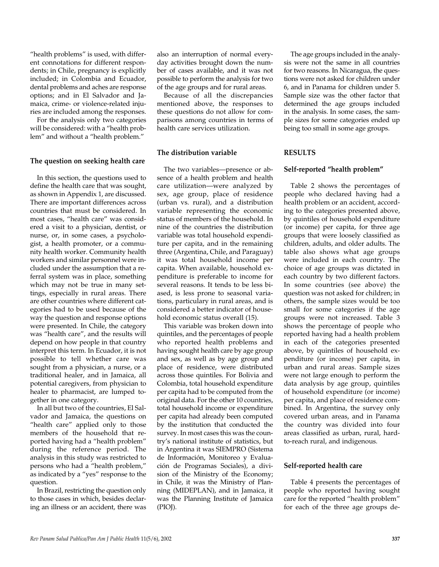"health problems" is used, with different connotations for different respondents; in Chile, pregnancy is explicitly included; in Colombia and Ecuador, dental problems and aches are response options; and in El Salvador and Jamaica, crime- or violence-related injuries are included among the responses.

For the analysis only two categories will be considered: with a "health problem" and without a "health problem."

# **The question on seeking health care**

In this section, the questions used to define the health care that was sought, as shown in Appendix 1, are discussed. There are important differences across countries that must be considered. In most cases, "health care" was considered a visit to a physician, dentist, or nurse, or, in some cases, a psychologist, a health promoter, or a community health worker. Community health workers and similar personnel were included under the assumption that a referral system was in place, something which may not be true in many settings, especially in rural areas. There are other countries where different categories had to be used because of the way the question and response options were presented. In Chile, the category was "health care", and the results will depend on how people in that country interpret this term. In Ecuador, it is not possible to tell whether care was sought from a physician, a nurse, or a traditional healer, and in Jamaica, all potential caregivers, from physician to healer to pharmacist, are lumped together in one category.

In all but two of the countries, El Salvador and Jamaica, the questions on "health care" applied only to those members of the household that reported having had a "health problem" during the reference period. The analysis in this study was restricted to persons who had a "health problem," as indicated by a "yes" response to the question.

In Brazil, restricting the question only to those cases in which, besides declaring an illness or an accident, there was

also an interruption of normal everyday activities brought down the number of cases available, and it was not possible to perform the analysis for two of the age groups and for rural areas.

Because of all the discrepancies mentioned above, the responses to these questions do not allow for comparisons among countries in terms of health care services utilization.

# **The distribution variable**

The two variables—presence or absence of a health problem and health care utilization—were analyzed by sex, age group, place of residence (urban vs. rural), and a distribution variable representing the economic status of members of the household. In nine of the countries the distribution variable was total household expenditure per capita, and in the remaining three (Argentina, Chile, and Paraguay) it was total household income per capita. When available, household expenditure is preferable to income for several reasons. It tends to be less biased, is less prone to seasonal variations, particulary in rural areas, and is considered a better indicator of household economic status overall (15).

This variable was broken down into quintiles, and the percentages of people who reported health problems and having sought health care by age group and sex, as well as by age group and place of residence, were distributed across those quintiles. For Bolivia and Colombia, total household expenditure per capita had to be computed from the original data. For the other 10 countries, total household income or expenditure per capita had already been computed by the institution that conducted the survey. In most cases this was the country's national institute of statistics, but in Argentina it was SIEMPRO (Sistema de Información, Monitoreo y Evaluación de Programas Sociales), a division of the Ministry of the Economy; in Chile, it was the Ministry of Planning (MIDEPLAN), and in Jamaica, it was the Planning Institute of Jamaica (PIOJ).

The age groups included in the analysis were not the same in all countries for two reasons. In Nicaragua, the questions were not asked for children under 6, and in Panama for children under 5. Sample size was the other factor that determined the age groups included in the analysis. In some cases, the sample sizes for some categories ended up being too small in some age groups.

## **RESULTS**

#### **Self-reported "health problem"**

Table 2 shows the percentages of people who declared having had a health problem or an accident, according to the categories presented above, by quintiles of household expenditure (or income) per capita, for three age groups that were loosely classified as children, adults, and older adults. The table also shows what age groups were included in each country. The choice of age groups was dictated in each country by two different factors. In some countries (see above) the question was not asked for children; in others, the sample sizes would be too small for some categories if the age groups were not increased. Table 3 shows the percentage of people who reported having had a health problem in each of the categories presented above, by quintiles of household expenditure (or income) per capita, in urban and rural areas. Sample sizes were not large enough to perform the data analysis by age group, quintiles of household expenditure (or income) per capita, and place of residence combined. In Argentina, the survey only covered urban areas, and in Panama the country was divided into four areas classified as urban, rural, hardto-reach rural, and indigenous.

#### **Self-reported health care**

Table 4 presents the percentages of people who reported having sought care for the reported "health problem" for each of the three age groups de-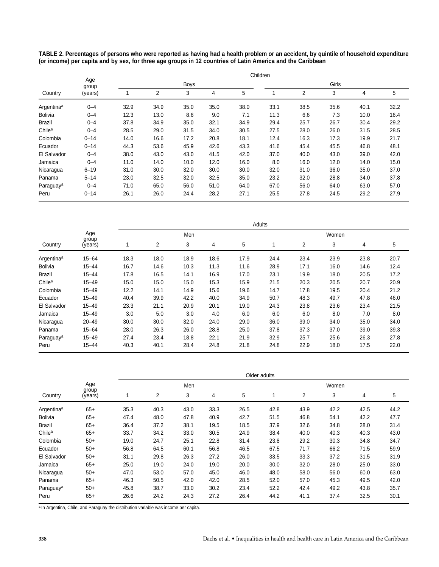**TABLE 2. Percentages of persons who were reported as having had a health problem or an accident, by quintile of household expenditure (or income) per capita and by sex, for three age groups in 12 countries of Latin America and the Caribbean**

|                        |              | Children |      |             |      |      |      |       |      |      |      |  |  |
|------------------------|--------------|----------|------|-------------|------|------|------|-------|------|------|------|--|--|
|                        | Age<br>group |          |      | <b>Boys</b> |      |      |      | Girls |      |      |      |  |  |
| Country                | (years)      |          | 2    | 3           | 4    | 5    |      | 2     | 3    | 4    | 5    |  |  |
| Argentina <sup>a</sup> | $0 - 4$      | 32.9     | 34.9 | 35.0        | 35.0 | 38.0 | 33.1 | 38.5  | 35.6 | 40.1 | 32.2 |  |  |
| <b>Bolivia</b>         | $0 - 4$      | 12.3     | 13.0 | 8.6         | 9.0  | 7.1  | 11.3 | 6.6   | 7.3  | 10.0 | 16.4 |  |  |
| <b>Brazil</b>          | $0 - 4$      | 37.8     | 34.9 | 35.0        | 32.1 | 34.9 | 29.4 | 25.7  | 26.7 | 30.4 | 29.2 |  |  |
| Chile <sup>a</sup>     | $0 - 4$      | 28.5     | 29.0 | 31.5        | 34.0 | 30.5 | 27.5 | 28.0  | 26.0 | 31.5 | 28.5 |  |  |
| Colombia               | $0 - 14$     | 14.0     | 16.6 | 17.2        | 20.8 | 18.1 | 12.4 | 16.3  | 17.3 | 19.9 | 21.7 |  |  |
| Ecuador                | $0 - 14$     | 44.3     | 53.6 | 45.9        | 42.6 | 43.3 | 41.6 | 45.4  | 45.5 | 46.8 | 48.1 |  |  |
| El Salvador            | $0 - 4$      | 38.0     | 43.0 | 43.0        | 41.5 | 42.0 | 37.0 | 40.0  | 43.0 | 39.0 | 42.0 |  |  |
| Jamaica                | $0 - 4$      | 11.0     | 14.0 | 10.0        | 12.0 | 16.0 | 8.0  | 16.0  | 12.0 | 14.0 | 15.0 |  |  |
| Nicaragua              | $6 - 19$     | 31.0     | 30.0 | 32.0        | 30.0 | 30.0 | 32.0 | 31.0  | 36.0 | 35.0 | 37.0 |  |  |
| Panama                 | $5 - 14$     | 23.0     | 32.5 | 32.0        | 32.5 | 35.0 | 23.2 | 32.0  | 28.8 | 34.0 | 37.8 |  |  |
| Paraguay <sup>a</sup>  | $0 - 4$      | 71.0     | 65.0 | 56.0        | 51.0 | 64.0 | 67.0 | 56.0  | 64.0 | 63.0 | 57.0 |  |  |
| Peru                   | $0 - 14$     | 26.1     | 26.0 | 24.4        | 28.2 | 27.1 | 25.5 | 27.8  | 24.5 | 29.2 | 27.9 |  |  |

|                        |                  |      | Adults |      |      |      |       |      |      |      |      |  |  |
|------------------------|------------------|------|--------|------|------|------|-------|------|------|------|------|--|--|
|                        | Age              |      |        | Men  |      |      | Women |      |      |      |      |  |  |
| Country                | group<br>(years) |      | 2      | 3    | 4    | 5    |       | 2    | 3    | 4    | 5    |  |  |
| Argentina <sup>a</sup> | $15 - 64$        | 18.3 | 18.0   | 18.9 | 18.6 | 17.9 | 24.4  | 23.4 | 23.9 | 23.8 | 20.7 |  |  |
| <b>Bolivia</b>         | $15 - 44$        | 16.7 | 14.6   | 10.3 | 11.3 | 11.6 | 28.9  | 17.1 | 16.0 | 14.6 | 12.4 |  |  |
| <b>Brazil</b>          | $15 - 44$        | 17.8 | 16.5   | 14.1 | 16.9 | 17.0 | 23.1  | 19.9 | 18.0 | 20.5 | 17.2 |  |  |
| Chile <sup>a</sup>     | $15 - 49$        | 15.0 | 15.0   | 15.0 | 15.3 | 15.9 | 21.5  | 20.3 | 20.5 | 20.7 | 20.9 |  |  |
| Colombia               | $15 - 49$        | 12.2 | 14.1   | 14.9 | 15.6 | 19.6 | 14.7  | 17.8 | 19.5 | 20.4 | 21.2 |  |  |
| Ecuador                | $15 - 49$        | 40.4 | 39.9   | 42.2 | 40.0 | 34.9 | 50.7  | 48.3 | 49.7 | 47.8 | 46.0 |  |  |
| El Salvador            | $15 - 49$        | 23.3 | 21.1   | 20.9 | 20.1 | 19.0 | 24.3  | 23.8 | 23.6 | 23.4 | 21.5 |  |  |
| Jamaica                | $15 - 49$        | 3.0  | 5.0    | 3.0  | 4.0  | 6.0  | 6.0   | 6.0  | 8.0  | 7.0  | 8.0  |  |  |
| Nicaragua              | $20 - 49$        | 30.0 | 30.0   | 32.0 | 24.0 | 29.0 | 36.0  | 39.0 | 34.0 | 35.0 | 34.0 |  |  |
| Panama                 | $15 - 64$        | 28.0 | 26.3   | 26.0 | 28.8 | 25.0 | 37.8  | 37.3 | 37.0 | 39.0 | 39.3 |  |  |
| Paraguay <sup>a</sup>  | $15 - 49$        | 27.4 | 23.4   | 18.8 | 22.1 | 21.9 | 32.9  | 25.7 | 25.6 | 26.3 | 27.8 |  |  |
| Peru                   | $15 - 44$        | 40.3 | 40.1   | 28.4 | 24.8 | 21.8 | 24.8  | 22.9 | 18.0 | 17.5 | 22.0 |  |  |

|                        |              |      | Older adults |      |      |      |       |      |      |      |      |  |  |  |
|------------------------|--------------|------|--------------|------|------|------|-------|------|------|------|------|--|--|--|
|                        | Age<br>group |      |              | Men  |      |      | Women |      |      |      |      |  |  |  |
| Country                | (years)      |      | 2            | 3    | 4    | 5    |       | 2    | 3    | 4    | 5    |  |  |  |
| Argentina <sup>a</sup> | $65+$        | 35.3 | 40.3         | 43.0 | 33.3 | 26.5 | 42.8  | 43.9 | 42.2 | 42.5 | 44.2 |  |  |  |
| <b>Bolivia</b>         | $65+$        | 47.4 | 48.0         | 47.8 | 40.9 | 42.7 | 51.5  | 46.8 | 54.1 | 42.2 | 47.7 |  |  |  |
| <b>Brazil</b>          | $65+$        | 36.4 | 37.2         | 38.1 | 19.5 | 18.5 | 37.9  | 32.6 | 34.8 | 28.0 | 31.4 |  |  |  |
| Chile <sup>a</sup>     | $65+$        | 33.7 | 34.2         | 33.0 | 30.5 | 24.9 | 38.4  | 40.0 | 40.3 | 40.3 | 43.0 |  |  |  |
| Colombia               | $50+$        | 19.0 | 24.7         | 25.1 | 22.8 | 31.4 | 23.8  | 29.2 | 30.3 | 34.8 | 34.7 |  |  |  |
| Ecuador                | $50+$        | 56.8 | 64.5         | 60.1 | 56.8 | 46.5 | 67.5  | 71.7 | 66.2 | 71.5 | 59.9 |  |  |  |
| El Salvador            | $50+$        | 31.1 | 29.8         | 26.3 | 27.2 | 26.0 | 33.5  | 33.3 | 37.2 | 31.5 | 31.9 |  |  |  |
| Jamaica                | $65+$        | 25.0 | 19.0         | 24.0 | 19.0 | 20.0 | 30.0  | 32.0 | 28.0 | 25.0 | 33.0 |  |  |  |
| Nicaragua              | $50+$        | 47.0 | 53.0         | 57.0 | 45.0 | 46.0 | 48.0  | 58.0 | 56.0 | 60.0 | 63.0 |  |  |  |
| Panama                 | $65+$        | 46.3 | 50.5         | 42.0 | 42.0 | 28.5 | 52.0  | 57.0 | 45.3 | 49.5 | 42.0 |  |  |  |
| Paraguay <sup>a</sup>  | $50+$        | 45.8 | 38.7         | 33.0 | 30.2 | 23.4 | 52.2  | 42.4 | 49.2 | 43.8 | 35.7 |  |  |  |
| Peru                   | $65+$        | 26.6 | 24.2         | 24.3 | 27.2 | 26.4 | 44.2  | 41.1 | 37.4 | 32.5 | 30.1 |  |  |  |

a In Argentina, Chile, and Paraguay the distribution variable was income per capita.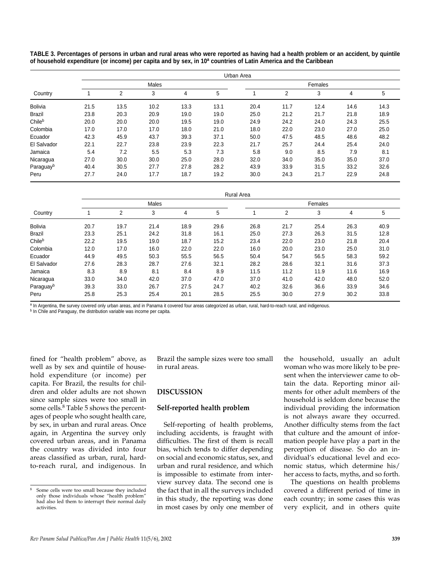**TABLE 3. Percentages of persons in urban and rural areas who were reported as having had a health problem or an accident, by quintile of household expenditure (or income) per capita and by sex, in 10a countries of Latin America and the Caribbean**

|                | Urban Area |      |       |      |      |         |                |      |      |      |  |  |  |
|----------------|------------|------|-------|------|------|---------|----------------|------|------|------|--|--|--|
|                |            |      | Males |      |      | Females |                |      |      |      |  |  |  |
| Country        |            | 2    | 3     | 4    | 5    |         | $\overline{2}$ | 3    | 4    | 5    |  |  |  |
| <b>Bolivia</b> | 21.5       | 13.5 | 10.2  | 13.3 | 13.1 | 20.4    | 11.7           | 12.4 | 14.6 | 14.3 |  |  |  |
| <b>Brazil</b>  | 23.8       | 20.3 | 20.9  | 19.0 | 19.0 | 25.0    | 21.2           | 21.7 | 21.8 | 18.9 |  |  |  |
| Chileb         | 20.0       | 20.0 | 20.0  | 19.5 | 19.0 | 24.9    | 24.2           | 24.0 | 24.3 | 25.5 |  |  |  |
| Colombia       | 17.0       | 17.0 | 17.0  | 18.0 | 21.0 | 18.0    | 22.0           | 23.0 | 27.0 | 25.0 |  |  |  |
| Ecuador        | 42.3       | 45.9 | 43.7  | 39.3 | 37.1 | 50.0    | 47.5           | 48.5 | 48.6 | 48.2 |  |  |  |
| El Salvador    | 22.1       | 22.7 | 23.8  | 23.9 | 22.3 | 21.7    | 25.7           | 24.4 | 25.4 | 24.0 |  |  |  |
| Jamaica        | 5.4        | 7.2  | 5.5   | 5.3  | 7.3  | 5.8     | 9.0            | 8.5  | 7.9  | 8.1  |  |  |  |
| Nicaragua      | 27.0       | 30.0 | 30.0  | 25.0 | 28.0 | 32.0    | 34.0           | 35.0 | 35.0 | 37.0 |  |  |  |
| Paraguayb      | 40.4       | 30.5 | 27.7  | 27.8 | 28.2 | 43.9    | 33.9           | 31.5 | 33.2 | 32.6 |  |  |  |
| Peru           | 27.7       | 24.0 | 17.7  | 18.7 | 19.2 | 30.0    | 24.3           | 21.7 | 22.9 | 24.8 |  |  |  |

|                       |      | <b>Rural Area</b> |       |      |      |         |      |      |      |      |  |  |  |  |
|-----------------------|------|-------------------|-------|------|------|---------|------|------|------|------|--|--|--|--|
|                       |      |                   | Males |      |      | Females |      |      |      |      |  |  |  |  |
| Country               |      | 2                 | 3     | 4    | 5    |         | 2    | 3    | 4    | 5    |  |  |  |  |
| <b>Bolivia</b>        | 20.7 | 19.7              | 21.4  | 18.9 | 29.6 | 26.8    | 21.7 | 25.4 | 26.3 | 40.9 |  |  |  |  |
| <b>Brazil</b>         | 23.3 | 25.1              | 24.2  | 31.8 | 16.1 | 25.0    | 27.3 | 26.3 | 31.5 | 12.8 |  |  |  |  |
| Chileb                | 22.2 | 19.5              | 19.0  | 18.7 | 15.2 | 23.4    | 22.0 | 23.0 | 21.8 | 20.4 |  |  |  |  |
| Colombia              | 12.0 | 17.0              | 16.0  | 22.0 | 22.0 | 16.0    | 20.0 | 23.0 | 25.0 | 31.0 |  |  |  |  |
| Ecuador               | 44.9 | 49.5              | 50.3  | 55.5 | 56.5 | 50.4    | 54.7 | 56.5 | 58.3 | 59.2 |  |  |  |  |
| El Salvador           | 27.6 | 28.3              | 28.7  | 27.6 | 32.1 | 28.2    | 28.6 | 32.1 | 31.6 | 37.3 |  |  |  |  |
| Jamaica               | 8.3  | 8.9               | 8.1   | 8.4  | 8.9  | 11.5    | 11.2 | 11.9 | 11.6 | 16.9 |  |  |  |  |
| Nicaragua             | 33.0 | 34.0              | 42.0  | 37.0 | 47.0 | 37.0    | 41.0 | 42.0 | 48.0 | 52.0 |  |  |  |  |
| Paraguay <sup>b</sup> | 39.3 | 33.0              | 26.7  | 27.5 | 24.7 | 40.2    | 32.6 | 36.6 | 33.9 | 34.6 |  |  |  |  |
| Peru                  | 25.8 | 25.3              | 25.4  | 20.1 | 28.5 | 25.5    | 30.0 | 27.9 | 30.2 | 33.8 |  |  |  |  |

a In Argentina, the survey covered only urban areas, and in Panama it covered four areas categorized as urban, rural, hard-to-reach rural, and indigenous.

**b** In Chile and Paraguay, the distribution variable was income per capita.

fined for "health problem" above, as well as by sex and quintile of household expenditure (or income) per capita. For Brazil, the results for children and older adults are not shown since sample sizes were too small in some cells.<sup>8</sup> Table 5 shows the percentages of people who sought health care, by sex, in urban and rural areas. Once again, in Argentina the survey only covered urban areas, and in Panama the country was divided into four areas classified as urban, rural, hardto-reach rural, and indigenous. In

Brazil the sample sizes were too small in rural areas.

## **DISCUSSION**

## **Self-reported health problem**

Self-reporting of health problems, including accidents, is fraught with difficulties. The first of them is recall bias, which tends to differ depending on social and economic status, sex, and urban and rural residence, and which is impossible to estimate from interview survey data. The second one is the fact that in all the surveys included in this study, the reporting was done in most cases by only one member of

the household, usually an adult woman who was more likely to be present when the interviewer came to obtain the data. Reporting minor ailments for other adult members of the household is seldom done because the individual providing the information is not always aware they occurred. Another difficulty stems from the fact that culture and the amount of information people have play a part in the perception of disease. So do an individual's educational level and economic status, which determine his/ her access to facts, myths, and so forth.

The questions on health problems covered a different period of time in each country; in some cases this was very explicit, and in others quite

<sup>8</sup> Some cells were too small because they included only those individuals whose "health problem" had also led them to interrupt their normal daily activities.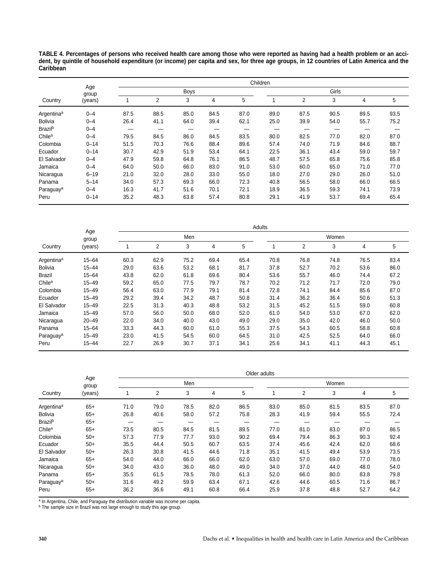**TABLE 4. Percentages of persons who received health care among those who were reported as having had a health problem or an accident, by quintile of household expenditure (or income) per capita and sex, for three age groups, in 12 countries of Latin America and the Caribbean**

|                        |              |      | Children |             |      |      |      |      |       |      |      |  |  |
|------------------------|--------------|------|----------|-------------|------|------|------|------|-------|------|------|--|--|
|                        | Age<br>group |      |          | <b>Boys</b> |      |      |      |      | Girls |      |      |  |  |
| Country                | (years)      |      | 2        | 3           | 4    | 5    |      | 2    | 3     | 4    | 5    |  |  |
| Argentina <sup>a</sup> | $0 - 4$      | 87.5 | 88.5     | 85.0        | 84.5 | 87.0 | 89.0 | 87.5 | 90.5  | 89.5 | 93.5 |  |  |
| <b>Bolivia</b>         | $0 - 4$      | 26.4 | 41.1     | 64.0        | 39.4 | 62.1 | 25.0 | 39.9 | 54.0  | 55.7 | 75.2 |  |  |
| <b>Brazil</b> b        | $0 - 4$      |      |          |             |      |      |      | —    | –     | —    |      |  |  |
| Chile <sup>a</sup>     | $0 - 4$      | 79.5 | 84.5     | 86.0        | 84.5 | 83.5 | 80.0 | 82.5 | 77.0  | 82.0 | 87.0 |  |  |
| Colombia               | $0 - 14$     | 51.5 | 70.3     | 76.6        | 88.4 | 89.6 | 57.4 | 74.0 | 71.9  | 84.6 | 88.7 |  |  |
| Ecuador                | $0 - 14$     | 30.7 | 42.9     | 51.9        | 53.4 | 64.1 | 22.5 | 36.1 | 43.4  | 59.0 | 59.7 |  |  |
| El Salvador            | $0 - 4$      | 47.9 | 59.8     | 64.8        | 76.1 | 86.5 | 48.7 | 57.5 | 65.8  | 75.6 | 85.8 |  |  |
| Jamaica                | $0 - 4$      | 64.0 | 50.0     | 66.0        | 83.0 | 91.0 | 53.0 | 60.0 | 65.0  | 71.0 | 77.0 |  |  |
| Nicaragua              | $6 - 19$     | 21.0 | 32.0     | 28.0        | 33.0 | 55.0 | 18.0 | 27.0 | 29.0  | 26.0 | 51.0 |  |  |
| Panama                 | $5 - 14$     | 34.0 | 57.3     | 69.3        | 66.0 | 72.3 | 40.8 | 56.5 | 58.0  | 66.0 | 66.5 |  |  |
| Paraguay <sup>a</sup>  | $0 - 4$      | 16.3 | 41.7     | 51.6        | 70.1 | 72.1 | 18.9 | 36.5 | 59.3  | 74.1 | 73.9 |  |  |
| Peru                   | $0 - 14$     | 35.2 | 48.3     | 63.8        | 57.4 | 80.8 | 29.1 | 41.9 | 53.7  | 69.4 | 65.4 |  |  |

|                        | Age       | Adults |      |      |      |      |       |      |      |      |      |  |  |
|------------------------|-----------|--------|------|------|------|------|-------|------|------|------|------|--|--|
|                        | group     |        |      | Men  |      |      | Women |      |      |      |      |  |  |
| Country                | (years)   |        | 2    | 3    | 4    | 5    |       | 2    | 3    | 4    | 5    |  |  |
| Argentina <sup>a</sup> | $15 - 64$ | 60.3   | 62.9 | 75.2 | 69.4 | 65.4 | 70.8  | 76.8 | 74.8 | 76.5 | 83.4 |  |  |
| <b>Bolivia</b>         | $15 - 44$ | 29.0   | 63.6 | 53.2 | 68.1 | 81.7 | 37.8  | 52.7 | 70.2 | 53.6 | 86.0 |  |  |
| <b>Brazil</b>          | $15 - 64$ | 43.8   | 62.0 | 61.8 | 69.6 | 80.4 | 53.6  | 55.7 | 46.0 | 74.4 | 67.2 |  |  |
| Chile <sup>a</sup>     | $15 - 49$ | 59.2   | 65.0 | 77.5 | 79.7 | 78.7 | 70.2  | 71.2 | 71.7 | 72.0 | 79.0 |  |  |
| Colombia               | $15 - 49$ | 56.4   | 63.0 | 77.9 | 79.1 | 81.4 | 72.8  | 74.1 | 84.4 | 85.6 | 87.0 |  |  |
| Ecuador                | $15 - 49$ | 29.2   | 39.4 | 34.2 | 48.7 | 50.8 | 31.4  | 36.2 | 36.4 | 50.6 | 51.3 |  |  |
| El Salvador            | $15 - 49$ | 22.5   | 31.3 | 40.3 | 48.8 | 53.2 | 31.5  | 45.2 | 51.5 | 59.0 | 60.8 |  |  |
| Jamaica                | $15 - 49$ | 57.0   | 56.0 | 50.0 | 68.0 | 52.0 | 61.0  | 54.0 | 53.0 | 67.0 | 62.0 |  |  |
| Nicaragua              | $20 - 49$ | 22.0   | 34.0 | 40.0 | 43.0 | 49.0 | 29.0  | 35.0 | 42.0 | 46.0 | 50.0 |  |  |
| Panama                 | $15 - 64$ | 33.3   | 44.3 | 60.0 | 61.0 | 55.3 | 37.5  | 54.3 | 60.5 | 58.8 | 60.8 |  |  |
| Paraguay <sup>a</sup>  | $15 - 49$ | 23.0   | 41.5 | 54.5 | 60.0 | 64.5 | 31.0  | 42.5 | 52.5 | 64.0 | 66.0 |  |  |
| Peru                   | $15 - 44$ | 22.7   | 26.9 | 30.7 | 37.1 | 34.1 | 25.6  | 34.1 | 41.1 | 44.3 | 45.1 |  |  |

|                            |              |      | Older adults |      |      |      |      |      |       |      |      |  |  |  |
|----------------------------|--------------|------|--------------|------|------|------|------|------|-------|------|------|--|--|--|
|                            | Age<br>group |      |              | Men  |      |      |      |      | Women |      |      |  |  |  |
| Country                    | (years)      |      | 2            | 3    | 4    | 5    |      | 2    | 3     | 4    | 5    |  |  |  |
| Argentina <sup>a</sup>     | $65+$        | 71.0 | 79.0         | 78.5 | 82.0 | 86.5 | 83.0 | 85.0 | 81.5  | 83.5 | 87.0 |  |  |  |
| <b>Bolivia</b>             | $65+$        | 26.8 | 40.6         | 58.0 | 57.2 | 75.8 | 28.3 | 41.9 | 59.4  | 55.5 | 72.4 |  |  |  |
| <b>Brazil</b> <sup>b</sup> | $65+$        |      |              |      |      |      |      |      |       |      |      |  |  |  |
| Chile <sup>a</sup>         | $65+$        | 73.5 | 80.5         | 84.5 | 81.5 | 89.5 | 77.0 | 81.0 | 83.0  | 87.0 | 86.5 |  |  |  |
| Colombia                   | $50+$        | 57.3 | 77.9         | 77.7 | 93.0 | 90.2 | 69.4 | 79.4 | 86.3  | 90.3 | 92.4 |  |  |  |
| Ecuador                    | $50+$        | 35.5 | 44.4         | 50.5 | 60.7 | 63.5 | 37.4 | 45.6 | 42.4  | 62.0 | 68.6 |  |  |  |
| El Salvador                | $50+$        | 26.3 | 30.8         | 41.5 | 44.6 | 71.8 | 35.1 | 41.5 | 49.4  | 53.9 | 73.5 |  |  |  |
| Jamaica                    | $65+$        | 54.0 | 44.0         | 66.0 | 66.0 | 62.0 | 63.0 | 57.0 | 69.0  | 77.0 | 78.0 |  |  |  |
| Nicaragua                  | $50+$        | 34.0 | 43.0         | 36.0 | 48.0 | 49.0 | 34.0 | 37.0 | 44.0  | 48.0 | 54.0 |  |  |  |
| Panama                     | $65+$        | 35.5 | 61.5         | 78.5 | 78.0 | 61.3 | 52.0 | 66.0 | 80.0  | 83.8 | 79.8 |  |  |  |
| Paraguay <sup>a</sup>      | $50+$        | 31.6 | 49.2         | 59.9 | 63.4 | 67.1 | 42.6 | 44.6 | 60.5  | 71.6 | 86.7 |  |  |  |
| Peru                       | $65+$        | 36.2 | 36.6         | 49.1 | 60.8 | 66.4 | 25.9 | 37.8 | 48.8  | 52.7 | 64.2 |  |  |  |

<sup>a</sup> In Argentina, Chile, and Paraguay the distribution variable was income per capita.

<sup>b</sup> The sample size in Brazil was not large enough to study this age group.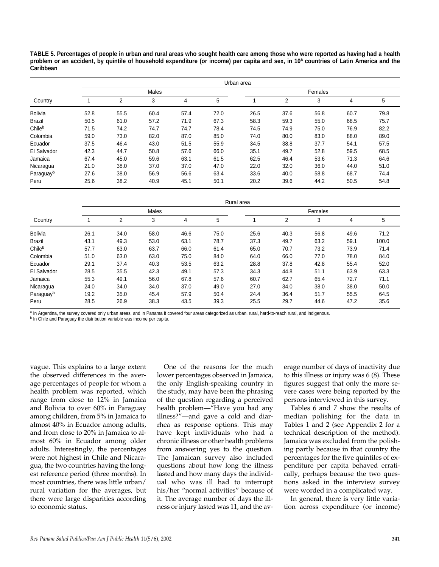**TABLE 5. Percentages of people in urban and rural areas who sought health care among those who were reported as having had a health** problem or an accident, by quintile of household expenditure (or income) per capita and sex, in 10<sup>a</sup> countries of Latin America and the **Caribbean**

|                       |      | Urban area |       |      |      |         |                |      |      |      |  |  |  |
|-----------------------|------|------------|-------|------|------|---------|----------------|------|------|------|--|--|--|
|                       |      |            | Males |      |      | Females |                |      |      |      |  |  |  |
| Country               |      | 2          | 3     | 4    | 5    |         | $\overline{2}$ | 3    | 4    | 5    |  |  |  |
| <b>Bolivia</b>        | 52.8 | 55.5       | 60.4  | 57.4 | 72.0 | 26.5    | 37.6           | 56.8 | 60.7 | 79.8 |  |  |  |
| <b>Brazil</b>         | 50.5 | 61.0       | 57.2  | 71.9 | 67.3 | 58.3    | 59.3           | 55.0 | 68.5 | 75.7 |  |  |  |
| Chileb                | 71.5 | 74.2       | 74.7  | 74.7 | 78.4 | 74.5    | 74.9           | 75.0 | 76.9 | 82.2 |  |  |  |
| Colombia              | 59.0 | 73.0       | 82.0  | 87.0 | 85.0 | 74.0    | 80.0           | 83.0 | 88.0 | 89.0 |  |  |  |
| Ecuador               | 37.5 | 46.4       | 43.0  | 51.5 | 55.9 | 34.5    | 38.8           | 37.7 | 54.1 | 57.5 |  |  |  |
| El Salvador           | 42.3 | 44.7       | 50.8  | 57.6 | 66.0 | 35.1    | 49.7           | 52.8 | 59.5 | 68.5 |  |  |  |
| Jamaica               | 67.4 | 45.0       | 59.6  | 63.1 | 61.5 | 62.5    | 46.4           | 53.6 | 71.3 | 64.6 |  |  |  |
| Nicaragua             | 21.0 | 38.0       | 37.0  | 37.0 | 47.0 | 22.0    | 32.0           | 36.0 | 44.0 | 51.0 |  |  |  |
| Paraguay <sup>b</sup> | 27.6 | 38.0       | 56.9  | 56.6 | 63.4 | 33.6    | 40.0           | 58.8 | 68.7 | 74.4 |  |  |  |
| Peru                  | 25.6 | 38.2       | 40.9  | 45.1 | 50.1 | 20.2    | 39.6           | 44.2 | 50.5 | 54.8 |  |  |  |

|                | Rural area |      |       |      |      |         |      |      |      |       |  |  |  |
|----------------|------------|------|-------|------|------|---------|------|------|------|-------|--|--|--|
|                |            |      | Males |      |      | Females |      |      |      |       |  |  |  |
| Country        |            | 2    | 3     | 4    | 5    |         | 2    | 3    | 4    | 5     |  |  |  |
| <b>Bolivia</b> | 26.1       | 34.0 | 58.0  | 46.6 | 75.0 | 25.6    | 40.3 | 56.8 | 49.6 | 71.2  |  |  |  |
| <b>Brazil</b>  | 43.1       | 49.3 | 53.0  | 63.1 | 78.7 | 37.3    | 49.7 | 63.2 | 59.1 | 100.0 |  |  |  |
| Chileb         | 57.7       | 63.0 | 63.7  | 66.0 | 61.4 | 65.0    | 70.7 | 73.2 | 73.9 | 71.4  |  |  |  |
| Colombia       | 51.0       | 63.0 | 63.0  | 75.0 | 84.0 | 64.0    | 66.0 | 77.0 | 78.0 | 84.0  |  |  |  |
| Ecuador        | 29.1       | 37.4 | 40.3  | 53.5 | 63.2 | 28.8    | 37.8 | 42.8 | 55.4 | 52.0  |  |  |  |
| El Salvador    | 28.5       | 35.5 | 42.3  | 49.1 | 57.3 | 34.3    | 44.8 | 51.1 | 63.9 | 63.3  |  |  |  |
| Jamaica        | 55.3       | 49.1 | 56.0  | 67.8 | 57.6 | 60.7    | 62.7 | 65.4 | 72.7 | 71.1  |  |  |  |
| Nicaragua      | 24.0       | 34.0 | 34.0  | 37.0 | 49.0 | 27.0    | 34.0 | 38.0 | 38.0 | 50.0  |  |  |  |
| Paraguayb      | 19.2       | 35.0 | 45.4  | 57.9 | 50.4 | 24.4    | 36.4 | 51.7 | 55.5 | 64.5  |  |  |  |
| Peru           | 28.5       | 26.9 | 38.3  | 43.5 | 39.3 | 25.5    | 29.7 | 44.6 | 47.2 | 35.6  |  |  |  |

a In Argentina, the survey covered only urban areas, and in Panama it covered four areas categorized as urban, rural, hard-to-reach rural, and indigenous.

b In Chile and Paraguay the distribution variable was income per capita.

vague. This explains to a large extent the observed differences in the average percentages of people for whom a health problem was reported, which range from close to 12% in Jamaica and Bolivia to over 60% in Paraguay among children, from 5% in Jamaica to almost 40% in Ecuador among adults, and from close to 20% in Jamaica to almost 60% in Ecuador among older adults. Interestingly, the percentages were not highest in Chile and Nicaragua, the two countries having the longest reference period (three months). In most countries, there was little urban/ rural variation for the averages, but there were large disparities according to economic status.

One of the reasons for the much lower percentages observed in Jamaica, the only English-speaking country in the study, may have been the phrasing of the question regarding a perceived health problem—"Have you had any illness?"—and gave a cold and diarrhea as response options. This may have kept individuals who had a chronic illness or other health problems from answering yes to the question. The Jamaican survey also included questions about how long the illness lasted and how many days the individual who was ill had to interrupt his/her "normal activities" because of it. The average number of days the illness or injury lasted was 11, and the average number of days of inactivity due to this illness or injury was 6 (8). These figures suggest that only the more severe cases were being reported by the persons interviewed in this survey.

Tables 6 and 7 show the results of median polishing for the data in Tables 1 and 2 (see Appendix 2 for a technical description of the method). Jamaica was excluded from the polishing partly because in that country the percentages for the five quintiles of expenditure per capita behaved erratically, perhaps because the two questions asked in the interview survey were worded in a complicated way.

In general, there is very little variation across expenditure (or income)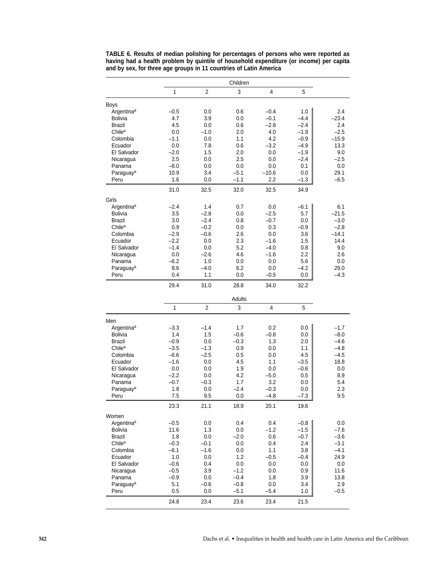|                        |        |                | Children |         |             |         |
|------------------------|--------|----------------|----------|---------|-------------|---------|
|                        | 1      | 2              | 3        | 4       | 5           |         |
| <b>Boys</b>            |        |                |          |         |             |         |
| Argentina <sup>a</sup> | $-0.5$ | 0.0            | 0.6      | $-0.4$  | 1.0         | 2.4     |
| Bolivia                | 4.7    | 3.9            | 0.0      | $-0.1$  | $-4.4$      | $-23.4$ |
| Brazil                 | 4.5    | 0.0            | 0.6      | $-2.8$  | $-2.4$      | 2.4     |
| Chile <sup>a</sup>     | 0.0    | $-1.0$         | 2.0      | 4.0     | $-1.9$      | $-2.5$  |
| Colombia               | $-1.1$ | 0.0            | 1.1      | 4.2     | $-0.9$      | $-15.9$ |
| Ecuador                | 0.0    | 7.8            | 0.6      | $-3.2$  | $-4.9$      | 13.3    |
| El Salvador            | $-2.0$ | 1.5            | 2.0      | 0.0     | $-1.9$      | 9.0     |
| Nicaragua              | 2.5    | 0.0            | 2.5      | 0.0     | $-2.4$      | $-2.5$  |
| Panama                 | $-8.0$ | 0.0            | 0.0      | 0.0     | 0.1         | 0.0     |
| Paraguay <sup>a</sup>  | 10.9   | 3.4            | $-5.1$   | $-10.6$ | 0.0         | 29.1    |
| Peru                   | 1.6    | 0.0            | $-1.1$   | 2.2     | $-1.3$      | $-6.5$  |
|                        | 31.0   | 32.5           | 32.0     | 32.5    | 34.9        |         |
| Girls                  |        |                |          |         |             |         |
| Argentina <sup>a</sup> | $-2.4$ | 1.4            | 0.7      | 0.0     | $-6.1$      | 6.1     |
| Bolivia                | 3.5    | $-2.8$         | 0.0      | $-2.5$  | 5.7         | $-21.5$ |
| Brazil                 | 3.0    | $-2.4$         | 0.8      | $-0.7$  | 0.0         | $-3.0$  |
| Chile <sup>a</sup>     | 0.9    | $-0.2$         | 0.0      | 0.3     | $-0.9$      | $-2.8$  |
| Colombia               | $-2.9$ | $-0.6$         | 2.6      | 0.0     | 3.6         | $-14.1$ |
| Ecuador                | $-2.2$ | 0.0            | 2.3      | $-1.6$  | 1.5         | 14.4    |
| El Salvador            | $-1.4$ | 0.0            | 5.2      | $-4.0$  | 0.8         | 9.0     |
| Nicaragua              | 0.0    | $-2.6$         | 4.6      | $-1.6$  | 2.2         | 2.6     |
| Panama                 | $-6.2$ | 1.0            | 0.0      | 0.0     | 5.6         | 0.0     |
| Paraguay <sup>a</sup>  | 8.6    | $-4.0$         | 6.2      | 0.0     | $-4.2$      | 29.0    |
| Peru                   | 0.4    | 1.1            | 0.0      | $-0.5$  | 0.0         | $-4.3$  |
|                        | 29.4   | 31.0           | 28.8     | 34.0    | 32.2        |         |
|                        |        |                |          |         |             |         |
|                        |        |                | Adults   |         |             |         |
|                        | 1      | $\overline{2}$ | 3        | 4       | $\mathbf 5$ |         |
| Men                    |        |                |          |         |             |         |
| Argentina <sup>a</sup> | $-3.3$ | $-1.4$         | 1.7      | $0.2\,$ | 0.0         | $-1.7$  |
| Bolivia                | 1.4    | 1.5            | $-0.6$   | $-0.8$  | 0.0         | $-8.0$  |
| Brazil                 | $-0.9$ | 0.0            | $-0.3$   | 1.3     | 2.0         | $-4.6$  |
| Chile <sup>a</sup>     | $-3.5$ | $-1.3$         | 0.9      | 0.0     | 1.1         | $-4.8$  |
| Colombia               | $-6.6$ | $-2.5$         | 0.5      | 0.0     | 4.5         | $-4.5$  |
| Ecuador                | $-1.6$ | 0.0            | 4.5      | 1.1     | $-3.5$      | 18.8    |
| El Salvador            | 0.0    | 0.0            | 1.9      | 0.0     | $-0.6$      | $0.0\,$ |
| Nicaragua              | $-2.2$ | 0.0            | 4.2      | $-5.0$  | 0.5         | 8.9     |
| Panama                 | $-0.7$ | $-0.3$         | 1.7      | 3.2     | 0.0         | 5.4     |
| Paraguay <sup>a</sup>  | 1.8    | 0.0            | $-2.4$   | $-0.3$  | 0.0         | 2.3     |
| Peru                   | 7.5    | 9.5            | 0.0      | $-4.8$  | $-7.3$      | 9.5     |
|                        | 23.3   | 21.1           | 18.9     | 20.1    | 19.6        |         |
| Women                  |        |                |          |         |             |         |
| Argentina <sup>a</sup> | $-0.5$ | 0.0            | 0.4      | 0.4     | $-0.8$      | 0.0     |
| Bolivia                | 11.6   | 1.3            | 0.0      | $-1.2$  | $-1.5$      | $-7.6$  |
| Brazil                 | 1.8    | 0.0            | $-2.0$   | $0.6\,$ | $-0.7$      | $-3.6$  |
| Chile <sup>a</sup>     | $-0.3$ | $-0.1$         | $0.0\,$  | 0.4     | 2.4         | $-3.1$  |
| Colombia               | $-6.1$ | $-1.6$         | 0.0      | 1.1     | 3.8         | $-4.1$  |
| Ecuador                | 1.0    | 0.0            | 1.2      | $-0.5$  | $-0.4$      | 24.9    |
| El Salvador            | $-0.6$ | 0.4            | 0.0      | 0.0     | 0.0         | 0.0     |
| Nicaragua              | $-0.5$ | 3.9            | $-1.2$   | 0.0     | 0.9         | 11.6    |
| Panama                 | $-0.9$ | 0.0            | $-0.4$   | 1.8     | 3.9         | 13.8    |
| Paraguay <sup>a</sup>  | 5.1    | $-0.6$         | $-0.8$   | 0.0     | 3.4         | 2.9     |
| Peru                   | 0.5    | $0.0\,$        | $-5.1$   | $-5.4$  | 1.0         | $-0.5$  |
|                        |        |                |          |         |             |         |
|                        | 24.8   | 23.4           | 23.6     | 23.4    | 21.5        |         |

**TABLE 6. Results of median polishing for percentages of persons who were reported as having had a health problem by quintile of household expenditure (or income) per capita and by sex, for three age groups in 11 countries of Latin America**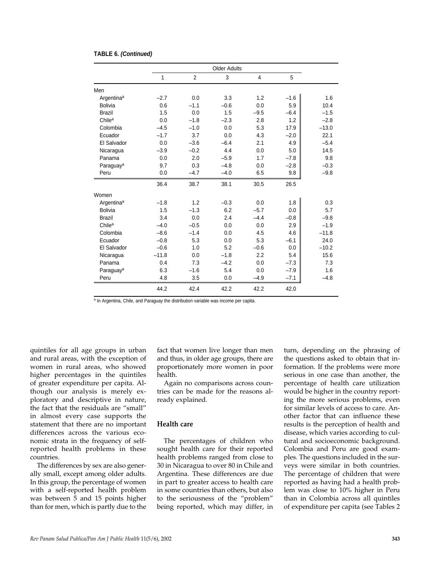|                        | <b>Older Adults</b> |                |        |        |        |         |
|------------------------|---------------------|----------------|--------|--------|--------|---------|
|                        | 1                   | $\overline{2}$ | 3      | 4      | 5      |         |
| Men                    |                     |                |        |        |        |         |
| Argentina <sup>a</sup> | $-2.7$              | 0.0            | 3.3    | 1.2    | $-1.6$ | 1.6     |
| Bolivia                | 0.6                 | $-1.1$         | $-0.6$ | 0.0    | 5.9    | 10.4    |
| <b>Brazil</b>          | 1.5                 | 0.0            | 1.5    | $-9.5$ | $-6.4$ | $-1.5$  |
| Chile <sup>a</sup>     | 0.0                 | $-1.8$         | $-2.3$ | 2.8    | 1.2    | $-2.8$  |
| Colombia               | $-4.5$              | $-1.0$         | 0.0    | 5.3    | 17.9   | $-13.0$ |
| Ecuador                | $-1.7$              | 3.7            | 0.0    | 4.3    | $-2.0$ | 22.1    |
| El Salvador            | 0.0                 | $-3.6$         | $-6.4$ | 2.1    | 4.9    | $-5.4$  |
| Nicaragua              | $-3.9$              | $-0.2$         | 4.4    | 0.0    | 5.0    | 14.5    |
| Panama                 | 0.0                 | 2.0            | $-5.9$ | 1.7    | $-7.8$ | 9.8     |
| Paraguay <sup>a</sup>  | 9.7                 | 0.3            | $-4.8$ | 0.0    | $-2.8$ | $-0.3$  |
| Peru                   | 0.0                 | $-4.7$         | $-4.0$ | 6.5    | 9.8    | $-9.8$  |
|                        | 36.4                | 38.7           | 38.1   | 30.5   | 26.5   |         |
| Women                  |                     |                |        |        |        |         |
| Argentina <sup>a</sup> | $-1.8$              | 1.2            | $-0.3$ | 0.0    | 1.8    | 0.3     |
| <b>Bolivia</b>         | 1.5                 | $-1.3$         | 6.2    | $-5.7$ | 0.0    | 5.7     |
| <b>Brazil</b>          | 3.4                 | 0.0            | 2.4    | $-4.4$ | $-0.8$ | $-9.8$  |
| Chile <sup>a</sup>     | $-4.0$              | $-0.5$         | 0.0    | 0.0    | 2.9    | $-1.9$  |
| Colombia               | $-8.6$              | $-1.4$         | 0.0    | 4.5    | 4.6    | $-11.8$ |
| Ecuador                | $-0.8$              | 5.3            | 0.0    | 5.3    | $-6.1$ | 24.0    |
| El Salvador            | $-0.6$              | 1.0            | 5.2    | $-0.6$ | 0.0    | $-10.2$ |
| Nicaragua              | $-11.8$             | 0.0            | $-1.8$ | 2.2    | 5.4    | 15.6    |
| Panama                 | 0.4                 | 7.3            | $-4.2$ | 0.0    | $-7.3$ | 7.3     |
| Paraguay <sup>a</sup>  | 6.3                 | $-1.6$         | 5.4    | 0.0    | $-7.9$ | 1.6     |
| Peru                   | 4.8                 | 3.5            | 0.0    | $-4.9$ | $-7.1$ | $-4.8$  |
|                        | 44.2                | 42.4           | 42.2   | 42.2   | 42.0   |         |

#### **TABLE 6. (Continued)**

a In Argentina, Chile, and Paraguay the distribution variable was income per capita.

quintiles for all age groups in urban and rural areas, with the exception of women in rural areas, who showed higher percentages in the quintiles of greater expenditure per capita. Although our analysis is merely exploratory and descriptive in nature, the fact that the residuals are "small" in almost every case supports the statement that there are no important differences across the various economic strata in the frequency of selfreported health problems in these countries.

The differences by sex are also generally small, except among older adults. In this group, the percentage of women with a self-reported health problem was between 5 and 15 points higher than for men, which is partly due to the

fact that women live longer than men and thus, in older age groups, there are proportionately more women in poor health.

Again no comparisons across countries can be made for the reasons already explained.

## **Health care**

The percentages of children who sought health care for their reported health problems ranged from close to 30 in Nicaragua to over 80 in Chile and Argentina. These differences are due in part to greater access to health care in some countries than others, but also to the seriousness of the "problem" being reported, which may differ, in

turn, depending on the phrasing of the questions asked to obtain that information. If the problems were more serious in one case than another, the percentage of health care utilization would be higher in the country reporting the more serious problems, even for similar levels of access to care. Another factor that can influence these results is the perception of health and disease, which varies according to cultural and socioeconomic background. Colombia and Peru are good examples. The questions included in the surveys were similar in both countries. The percentage of children that were reported as having had a health problem was close to 10% higher in Peru than in Colombia across all quintiles of expenditure per capita (see Tables 2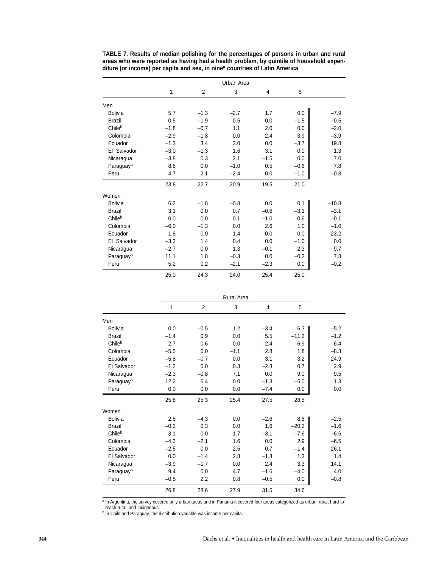|                | 1      | $\overline{2}$ | 3      | $\overline{4}$ | 5      |         |
|----------------|--------|----------------|--------|----------------|--------|---------|
| Men            |        |                |        |                |        |         |
| <b>Bolivia</b> | 5.7    | $-1.3$         | $-2.7$ | 1.7            | 0.0    | $-7.9$  |
| <b>Brazil</b>  | 0.5    | $-1.9$         | 0.5    | 0.0            | $-1.5$ | $-0.5$  |
| Chileb         | $-1.8$ | $-0.7$         | 1.1    | 2.0            | 0.0    | $-2.0$  |
| Colombia       | $-2.9$ | $-1.8$         | 0.0    | 2.4            | 3.9    | $-3.9$  |
| Ecuador        | $-1.3$ | 3.4            | 3.0    | 0.0            | $-3.7$ | 19.8    |
| El Salvador    | $-3.0$ | $-1.3$         | 1.6    | 3.1            | 0.0    | 1.3     |
| Nicaragua      | $-3.8$ | 0.3            | 2.1    | $-1.5$         | 0.0    | 7.0     |
| Paraguayb      | 8.8    | 0.0            | $-1.0$ | 0.5            | $-0.6$ | 7.8     |
| Peru           | 4.7    | 2.1            | $-2.4$ | 0.0            | $-1.0$ | $-0.8$  |
|                | 23.8   | 22.7           | 20.9   | 19.5           | 21.0   |         |
| Women          |        |                |        |                |        |         |
| <b>Bolivia</b> | 6.2    | $-1.8$         | $-0.8$ | 0.0            | 0.1    | $-10.8$ |
| <b>Brazil</b>  | 3.1    | 0.0            | 0.7    | $-0.6$         | $-3.1$ | $-3.1$  |
| Chileb         | 0.0    | 0.0            | 0.1    | $-1.0$         | 0.6    | $-0.1$  |
| Colombia       | $-6.0$ | $-1.3$         | 0.0    | 2.6            | 1.0    | $-1.0$  |
| Ecuador        | 1.8    | 0.0            | 1.4    | 0.0            | 0.0    | 23.2    |
| El Salvador    | $-3.3$ | 1.4            | 0.4    | 0.0            | $-1.0$ | 0.0     |
| Nicaragua      | $-2.7$ | 0.0            | 1.3    | $-0.1$         | 2.3    | 9.7     |
| Paraguayb      | 11.1   | 1.8            | $-0.3$ | 0.0            | $-0.2$ | 7.8     |
| Peru           | 5.2    | 0.2            | $-2.1$ | $-2.3$         | 0.0    | $-0.2$  |
|                | 25.0   | 24.3           | 24.0   | 25.4           | 25.0   |         |

**TABLE 7. Results of median polishing for the percentages of persons in urban and rural areas who were reported as having had a health problem, by quintile of household expenditure (or income) per capita and sex, in ninea countries of Latin America**

|                | Rural Area |                |        |        |         |        |  |
|----------------|------------|----------------|--------|--------|---------|--------|--|
|                | 1          | $\overline{2}$ | 3      | 4      | 5       |        |  |
| Men            |            |                |        |        |         |        |  |
| <b>Bolivia</b> | 0.0        | $-0.5$         | 1.2    | $-3.4$ | 6.3     | $-5.2$ |  |
| <b>Brazil</b>  | $-1.4$     | 0.9            | 0.0    | 5.5    | $-11.2$ | $-1.2$ |  |
| Chileb         | 2.7        | 0.6            | 0.0    | $-2.4$ | $-6.9$  | $-6.4$ |  |
| Colombia       | $-5.5$     | 0.0            | $-1.1$ | 2.8    | 1.8     | $-8.3$ |  |
| Ecuador        | $-5.8$     | $-0.7$         | 0.0    | 3.1    | 3.2     | 24.9   |  |
| El Salvador    | $-1.2$     | 0.0            | 0.3    | $-2.8$ | 0.7     | 2.9    |  |
| Nicaragua      | $-2.3$     | $-0.8$         | 7.1    | 0.0    | 9.0     | 9.5    |  |
| Paraguayb      | 12.2       | 6.4            | 0.0    | $-1.3$ | $-5.0$  | 1.3    |  |
| Peru           | 0.0        | 0.0            | 0.0    | $-7.4$ | 0.0     | 0.0    |  |
|                | 25.8       | 25.3           | 25.4   | 27.5   | 28.5    |        |  |
| Women          |            |                |        |        |         |        |  |
| <b>Bolivia</b> | 2.5        | $-4.3$         | 0.0    | $-2.6$ | 8.8     | $-2.5$ |  |
| <b>Brazil</b>  | $-0.2$     | 0.3            | 0.0    | 1.6    | $-20.2$ | $-1.6$ |  |
| Chileb         | 3.1        | 0.0            | 1.7    | $-3.1$ | $-7.6$  | $-6.6$ |  |
| Colombia       | $-4.3$     | $-2.1$         | 1.6    | 0.0    | 2.9     | $-6.5$ |  |
| Ecuador        | $-2.5$     | 0.0            | 2.5    | 0.7    | $-1.4$  | 26.1   |  |
| El Salvador    | 0.0        | $-1.4$         | 2.8    | $-1.3$ | 1.3     | 1.4    |  |
| Nicaragua      | $-3.9$     | $-1.7$         | 0.0    | 2.4    | 3.3     | 14.1   |  |
| Paraguayb      | 9.4        | 0.0            | 4.7    | $-1.6$ | $-4.0$  | 4.0    |  |
| Peru           | $-0.5$     | 2.2            | 0.8    | $-0.5$ | 0.0     | $-0.8$ |  |
|                | 26.8       | 28.6           | 27.9   | 31.5   | 34.6    |        |  |

a In Argentina, the survey covered only urban areas and in Panama it covered four areas categorized as urban, rural, hard-toreach rural, and indigenous.

b In Chile and Paraguay, the distribution variable was income per capita.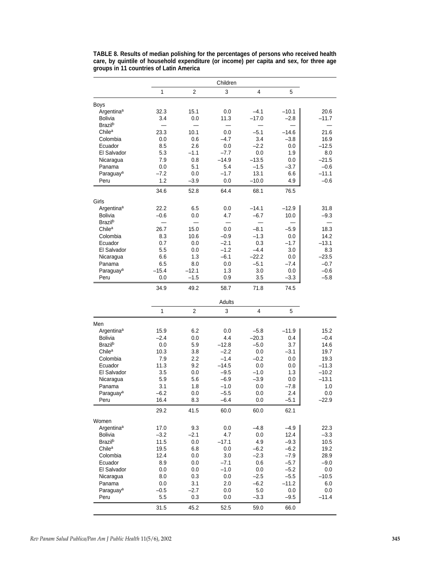|                            |         |                | Children |         |         |         |
|----------------------------|---------|----------------|----------|---------|---------|---------|
|                            | 1       | $\overline{2}$ | 3        | 4       | 5       |         |
| <b>Boys</b>                |         |                |          |         |         |         |
| Argentina <sup>a</sup>     | 32.3    | 15.1           | 0.0      | -4.1    | $-10.1$ | 20.6    |
| <b>Bolivia</b>             | 3.4     | 0.0            | 11.3     | $-17.0$ | $-2.8$  | $-11.7$ |
| <b>Brazil</b> <sup>b</sup> |         |                |          |         |         |         |
| Chile <sup>a</sup>         | 23.3    | 10.1           | 0.0      | $-5.1$  | $-14.6$ | 21.6    |
| Colombia                   | 0.0     | 0.6            | $-4.7$   | 3.4     | $-3.8$  | 16.9    |
| Ecuador                    | 8.5     | 2.6            | 0.0      | $-2.2$  | 0.0     | $-12.5$ |
| El Salvador                | 5.3     | $-1.1$         | $-7.7$   | 0.0     | 1.9     | 8.0     |
| Nicaragua                  | 7.9     | 0.8            | $-14.9$  | $-13.5$ | 0.0     | $-21.5$ |
| Panama                     | 0.0     | 5.1            | 5.4      | $-1.5$  | $-3.7$  | $-0.6$  |
| Paraguay <sup>a</sup>      | $-7.2$  | 0.0            | $-1.7$   | 13.1    | 6.6     | $-11.1$ |
| Peru                       | 1.2     | $-3.9$         | 0.0      | $-10.0$ | 4.9     | $-0.6$  |
|                            | 34.6    | 52.8           | 64.4     | 68.1    | 76.5    |         |
| Girls                      |         |                |          |         |         |         |
| Argentina <sup>a</sup>     | 22.2    | 6.5            | 0.0      | $-14.1$ | $-12.9$ | 31.8    |
| <b>Bolivia</b>             | $-0.6$  | 0.0            | 4.7      | $-6.7$  | 10.0    | $-9.3$  |
| <b>Brazil</b> <sup>b</sup> |         |                |          |         |         |         |
| Chile <sup>a</sup>         | 26.7    | 15.0           | 0.0      | $-8.1$  | $-5.9$  | 18.3    |
| Colombia                   | 8.3     | 10.6           | $-0.9$   | $-1.3$  | 0.0     | 14.2    |
| Ecuador                    | 0.7     | 0.0            | $-2.1$   | 0.3     | $-1.7$  | $-13.1$ |
| El Salvador                | 5.5     | 0.0            | $-1.2$   | $-4.4$  | 3.0     | 8.3     |
| Nicaragua                  | 6.6     | 1.3            | $-6.1$   | $-22.2$ | 0.0     | $-23.5$ |
| Panama                     | 6.5     | 8.0            | 0.0      | $-5.1$  | $-7.4$  | $-0.7$  |
| Paraguay <sup>a</sup>      | $-15.4$ | $-12.1$        | 1.3      | 3.0     | 0.0     | $-0.6$  |
| Peru                       | 0.0     | $-1.5$         | 0.9      | 3.5     | $-3.3$  | $-5.8$  |
|                            | 34.9    | 49.2           | 58.7     | 71.8    | 74.5    |         |
|                            |         |                | Adults   |         |         |         |
|                            | 1       | $\overline{2}$ | 3        | 4       | 5       |         |
| Men                        |         |                |          |         |         |         |
| Argentina <sup>a</sup>     | 15.9    | 6.2            | 0.0      | $-5.8$  | $-11.9$ | 15.2    |
| <b>Bolivia</b>             | $-2.4$  | 0.0            | 4.4      | $-20.3$ | 0.4     | $-0.4$  |
| <b>Brazil</b> <sup>b</sup> | 0.0     | 5.9            | $-12.8$  | $-5.0$  | 3.7     | 14.6    |
| Chile <sup>a</sup>         | 10.3    | 3.8            | $-2.2$   | 0.0     | $-3.1$  | 19.7    |
| Colombia                   | 7.9     | 2.2            | $-1.4$   | $-0.2$  | 0.0     | 19.3    |
| Ecuador                    | 11.3    | 9.2            | $-14.5$  | 0.0     | 0.0     | $-11.3$ |
| El Salvador                | 3.5     | 0.0            | $-9.5$   | $-1.0$  | 1.3     | $-10.2$ |
| Nicaragua                  | 5.9     | 5.6            | $-6.9$   | $-3.9$  | 0.0     | $-13.1$ |
| Panama                     | 3.1     | 1.8            | $-1.0$   | 0.0     | $-7.8$  | 1.0     |
| Paraguay <sup>a</sup>      | $-6.2$  | 0.0            | $-5.5$   | 0.0     | 2.4     | $0.0\,$ |
| Peru                       | 16.4    | 8.3            | $-6.4$   | 0.0     | $-5.1$  | $-22.9$ |
|                            | 29.2    | 41.5           | 60.0     | 60.0    | 62.1    |         |
| Women                      |         |                |          |         |         |         |
| Argentina <sup>a</sup>     | 17.0    | 9.3            | 0.0      | -4.8    | $-4.9$  | 22.3    |
| <b>Bolivia</b>             | $-3.2$  | $-2.1$         | 4.7      | 0.0     | 12.4    | $-3.3$  |
| <b>Brazil</b> <sup>b</sup> | 11.5    | $0.0\,$        | -17.1    | 4.9     | $-9.3$  | 10.5    |
| Chile <sup>a</sup>         | 19.5    | 6.8            | 0.0      | -6.2    | $-6.2$  | 19.2    |
| Colombia                   | 12.4    | 0.0            | 3.0      | $-2.3$  | $-7.9$  | 28.9    |
| Ecuador                    | 8.9     | 0.0            | $-7.1$   | 0.6     | $-5.7$  | $-9.0$  |
| El Salvador                | 0.0     | 0.0            | $-1.0$   | 0.0     | $-5.2$  | 0.0     |
| Nicaragua                  | 8.0     | 0.3            | 0.0      | $-2.5$  | $-5.5$  | $-10.5$ |
| Panama                     | 0.0     | 3.1            | 2.0      | -6.2    | $-11.2$ | 6.0     |
| Paraguay <sup>a</sup>      |         |                |          |         |         |         |
|                            | $-0.5$  | $-2.7$         | 0.0      | 5.0     | 0.0     | 0.0     |
| Peru                       | 5.5     | 0.3            | 0.0      | $-3.3$  | -9.5    | $-11.4$ |

**TABLE 8. Results of median polishing for the percentages of persons who received health care, by quintile of household expenditure (or income) per capita and sex, for three age groups in 11 countries of Latin America**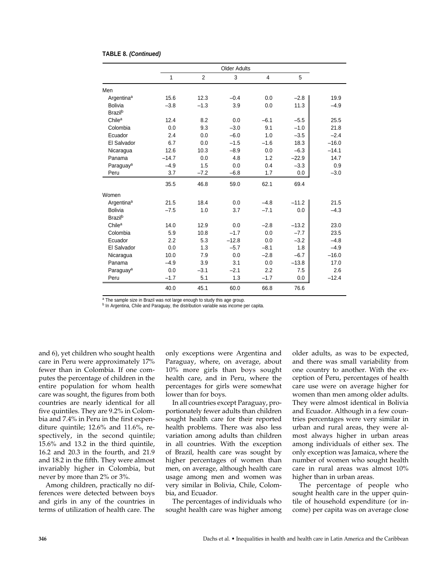|                            | <b>Older Adults</b> |                |         |        |         |         |
|----------------------------|---------------------|----------------|---------|--------|---------|---------|
|                            | 1                   | $\overline{2}$ | 3       | 4      | 5       |         |
| Men                        |                     |                |         |        |         |         |
| Argentina <sup>a</sup>     | 15.6                | 12.3           | $-0.4$  | 0.0    | $-2.8$  | 19.9    |
| Bolivia                    | $-3.8$              | $-1.3$         | 3.9     | 0.0    | 11.3    | $-4.9$  |
| Brazil <sup>b</sup>        |                     |                |         |        |         |         |
| Chile <sup>a</sup>         | 12.4                | 8.2            | 0.0     | $-6.1$ | $-5.5$  | 25.5    |
| Colombia                   | 0.0                 | 9.3            | $-3.0$  | 9.1    | $-1.0$  | 21.8    |
| Ecuador                    | 2.4                 | 0.0            | $-6.0$  | 1.0    | $-3.5$  | $-2.4$  |
| El Salvador                | 6.7                 | 0.0            | $-1.5$  | $-1.6$ | 18.3    | $-16.0$ |
| Nicaragua                  | 12.6                | 10.3           | $-8.9$  | 0.0    | $-6.3$  | $-14.1$ |
| Panama                     | $-14.7$             | 0.0            | 4.8     | 1.2    | $-22.9$ | 14.7    |
| Paraguay <sup>a</sup>      | $-4.9$              | 1.5            | 0.0     | 0.4    | $-3.3$  | 0.9     |
| Peru                       | 3.7                 | $-7.2$         | $-6.8$  | 1.7    | 0.0     | $-3.0$  |
|                            | 35.5                | 46.8           | 59.0    | 62.1   | 69.4    |         |
| Women                      |                     |                |         |        |         |         |
| Argentina <sup>a</sup>     | 21.5                | 18.4           | 0.0     | $-4.8$ | $-11.2$ | 21.5    |
| <b>Bolivia</b>             | $-7.5$              | 1.0            | 3.7     | $-7.1$ | 0.0     | $-4.3$  |
| <b>Brazil</b> <sup>b</sup> |                     |                |         |        |         |         |
| Chile <sup>a</sup>         | 14.0                | 12.9           | 0.0     | $-2.8$ | $-13.2$ | 23.0    |
| Colombia                   | 5.9                 | 10.8           | $-1.7$  | 0.0    | $-7.7$  | 23.5    |
| Ecuador                    | 2.2                 | 5.3            | $-12.8$ | 0.0    | $-3.2$  | $-4.8$  |
| El Salvador                | 0.0                 | 1.3            | $-5.7$  | $-8.1$ | 1.8     | $-4.9$  |
| Nicaragua                  | 10.0                | 7.9            | 0.0     | $-2.8$ | $-6.7$  | $-16.0$ |
| Panama                     | $-4.9$              | 3.9            | 3.1     | 0.0    | $-13.8$ | 17.0    |
| Paraguay <sup>a</sup>      | 0.0                 | $-3.1$         | $-2.1$  | 2.2    | 7.5     | 2.6     |
| Peru                       | $-1.7$              | 5.1            | 1.3     | $-1.7$ | 0.0     | $-12.4$ |
|                            | 40.0                | 45.1           | 60.0    | 66.8   | 76.6    |         |

#### **TABLE 8. (Continued)**

a The sample size in Brazil was not large enough to study this age group.

b In Argentina, Chile and Paraguay, the distribution variable was income per capita.

and 6), yet children who sought health care in Peru were approximately 17% fewer than in Colombia. If one computes the percentage of children in the entire population for whom health care was sought, the figures from both countries are nearly identical for all five quintiles. They are 9.2% in Colombia and 7.4% in Peru in the first expenditure quintile; 12.6% and 11.6%, respectively, in the second quintile; 15.6% and 13.2 in the third quintile, 16.2 and 20.3 in the fourth, and 21.9 and 18.2 in the fifth. They were almost invariably higher in Colombia, but never by more than 2% or 3%.

Among children, practically no differences were detected between boys and girls in any of the countries in terms of utilization of health care. The only exceptions were Argentina and Paraguay, where, on average, about 10% more girls than boys sought health care, and in Peru, where the percentages for girls were somewhat lower than for boys.

In all countries except Paraguay, proportionately fewer adults than children sought health care for their reported health problems. There was also less variation among adults than children in all countries. With the exception of Brazil, health care was sought by higher percentages of women than men, on average, although health care usage among men and women was very similar in Bolivia, Chile, Colombia, and Ecuador.

The percentages of individuals who sought health care was higher among

older adults, as was to be expected, and there was small variability from one country to another. With the exception of Peru, percentages of health care use were on average higher for women than men among older adults. They were almost identical in Bolivia and Ecuador. Although in a few countries percentages were very similar in urban and rural areas, they were almost always higher in urban areas among individuals of either sex. The only exception was Jamaica, where the number of women who sought health care in rural areas was almost 10% higher than in urban areas.

The percentage of people who sought health care in the upper quintile of household expenditure (or income) per capita was on average close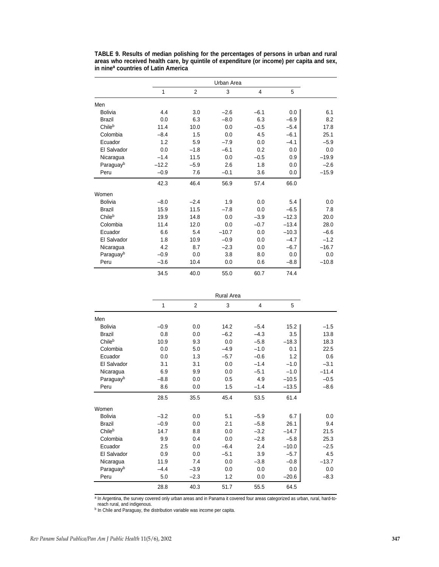|                       | Urban Area |        |         |        |         |         |  |
|-----------------------|------------|--------|---------|--------|---------|---------|--|
|                       | 1          | 2      | 3       | 4      | 5       |         |  |
| Men                   |            |        |         |        |         |         |  |
| <b>Bolivia</b>        | 4.4        | 3.0    | $-2.6$  | $-6.1$ | 0.0     | 6.1     |  |
| <b>Brazil</b>         | 0.0        | 6.3    | $-8.0$  | 6.3    | $-6.9$  | 8.2     |  |
| Chileb                | 11.4       | 10.0   | 0.0     | $-0.5$ | $-5.4$  | 17.8    |  |
| Colombia              | $-8.4$     | 1.5    | 0.0     | 4.5    | $-6.1$  | 25.1    |  |
| Ecuador               | 1.2        | 5.9    | $-7.9$  | 0.0    | $-4.1$  | $-5.9$  |  |
| El Salvador           | 0.0        | $-1.8$ | $-6.1$  | 0.2    | 0.0     | 0.0     |  |
| Nicaragua             | $-1.4$     | 11.5   | 0.0     | $-0.5$ | 0.9     | $-19.9$ |  |
| Paraguayb             | $-12.2$    | $-5.9$ | 2.6     | 1.8    | 0.0     | $-2.6$  |  |
| Peru                  | $-0.9$     | 7.6    | $-0.1$  | 3.6    | 0.0     | $-15.9$ |  |
|                       | 42.3       | 46.4   | 56.9    | 57.4   | 66.0    |         |  |
| Women                 |            |        |         |        |         |         |  |
| <b>Bolivia</b>        | $-8.0$     | $-2.4$ | 1.9     | 0.0    | 5.4     | 0.0     |  |
| <b>Brazil</b>         | 15.9       | 11.5   | $-7.8$  | 0.0    | $-6.5$  | 7.8     |  |
| Chileb                | 19.9       | 14.8   | 0.0     | $-3.9$ | $-12.3$ | 20.0    |  |
| Colombia              | 11.4       | 12.0   | 0.0     | $-0.7$ | $-13.4$ | 28.0    |  |
| Ecuador               | 6.6        | 5.4    | $-10.7$ | 0.0    | $-10.3$ | $-6.6$  |  |
| El Salvador           | 1.8        | 10.9   | $-0.9$  | 0.0    | $-4.7$  | $-1.2$  |  |
| Nicaragua             | 4.2        | 8.7    | $-2.3$  | 0.0    | $-6.7$  | $-16.7$ |  |
| Paraguay <sup>b</sup> | $-0.9$     | 0.0    | 3.8     | 8.0    | 0.0     | 0.0     |  |
| Peru                  | $-3.6$     | 10.4   | 0.0     | 0.6    | $-8.8$  | $-10.8$ |  |
|                       | 34.5       | 40.0   | 55.0    | 60.7   | 74.4    |         |  |

**TABLE 9. Results of median polishing for the percentages of persons in urban and rural areas who received health care, by quintile of expenditure (or income) per capita and sex, in nine<sup>a</sup> countries of Latin America**

|                | <b>Rural Area</b> |                |        |        |         |         |  |
|----------------|-------------------|----------------|--------|--------|---------|---------|--|
|                | 1                 | $\overline{2}$ | 3      | 4      | 5       |         |  |
| Men            |                   |                |        |        |         |         |  |
| <b>Bolivia</b> | $-0.9$            | 0.0            | 14.2   | $-5.4$ | 15.2    | $-1.5$  |  |
| <b>Brazil</b>  | 0.8               | 0.0            | $-6.2$ | $-4.3$ | 3.5     | 13.8    |  |
| Chileb         | 10.9              | 9.3            | 0.0    | $-5.8$ | $-18.3$ | 18.3    |  |
| Colombia       | 0.0               | 5.0            | $-4.9$ | $-1.0$ | 0.1     | 22.5    |  |
| Ecuador        | 0.0               | 1.3            | $-5.7$ | $-0.6$ | 1.2     | 0.6     |  |
| El Salvador    | 3.1               | 3.1            | 0.0    | $-1.4$ | $-1.0$  | $-3.1$  |  |
| Nicaragua      | 6.9               | 9.9            | 0.0    | $-5.1$ | $-1.0$  | $-11.4$ |  |
| Paraguayb      | $-8.8$            | 0.0            | 0.5    | 4.9    | $-10.5$ | $-0.5$  |  |
| Peru           | 8.6               | 0.0            | 1.5    | $-1.4$ | $-13.5$ | $-8.6$  |  |
|                | 28.5              | 35.5           | 45.4   | 53.5   | 61.4    |         |  |
| Women          |                   |                |        |        |         |         |  |
| <b>Bolivia</b> | $-3.2$            | 0.0            | 5.1    | $-5.9$ | 6.7     | 0.0     |  |
| <b>Brazil</b>  | $-0.9$            | 0.0            | 2.1    | $-5.8$ | 26.1    | 9.4     |  |
| Chileb         | 14.7              | 8.8            | 0.0    | $-3.2$ | $-14.7$ | 21.5    |  |
| Colombia       | 9.9               | 0.4            | 0.0    | $-2.8$ | $-5.8$  | 25.3    |  |
| Ecuador        | 2.5               | 0.0            | $-6.4$ | 2.4    | $-10.0$ | $-2.5$  |  |
| El Salvador    | 0.9               | 0.0            | $-5.1$ | 3.9    | $-5.7$  | 4.5     |  |
| Nicaragua      | 11.9              | 7.4            | 0.0    | $-3.8$ | $-0.8$  | $-13.7$ |  |
| Paraguayb      | $-4.4$            | $-3.9$         | 0.0    | 0.0    | 0.0     | 0.0     |  |
| Peru           | 5.0               | $-2.3$         | 1.2    | 0.0    | $-20.6$ | $-8.3$  |  |
|                | 28.8              | 40.3           | 51.7   | 55.5   | 64.5    |         |  |

a In Argentina, the survey covered only urban areas and in Panama it covered four areas categorized as urban, rural, hard-to-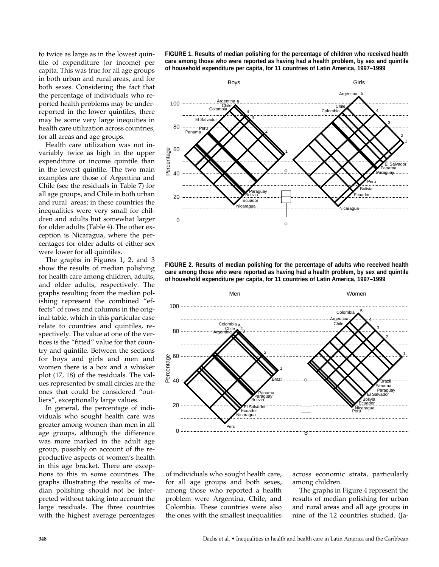to twice as large as in the lowest quintile of expenditure (or income) per capita. This was true for all age groups in both urban and rural areas, and for both sexes. Considering the fact that the percentage of individuals who reported health problems may be underreported in the lower quintiles, there may be some very large inequities in health care utilization across countries, for all areas and age groups.

Health care utilization was not invariably twice as high in the upper expenditure or income quintile than in the lowest quintile. The two main examples are those of Argentina and Chile (see the residuals in Table 7) for all age groups, and Chile in both urban and rural areas; in these countries the inequalities were very small for children and adults but somewhat larger for older adults (Table 4). The other exception is Nicaragua, where the percentages for older adults of either sex were lower for all quintiles.

The graphs in Figures 1, 2, and 3 show the results of median polishing for health care among children, adults, and older adults, respectively. The graphs resulting from the median polishing represent the combined "effects" of rows and columns in the original table, which in this particular case relate to countries and quintiles, respectively. The value at one of the vertices is the "fitted" value for that country and quintile. Between the sections for boys and girls and men and women there is a box and a whisker plot (17, 18) of the residuals. The values represented by small circles are the ones that could be considered "outliers", exceptionally large values.

In general, the percentage of individuals who sought health care was greater among women than men in all age groups, although the difference was more marked in the adult age group, possibly on account of the reproductive aspects of women's health in this age bracket. There are exceptions to this in some countries. The graphs illustrating the results of median polishing should not be interpreted without taking into account the large residuals. The three countries with the highest average percentages **FIGURE 1. Results of median polishing for the percentage of children who received health care among those who were reported as having had a health problem, by sex and quintile of household expenditure per capita, for 11 countries of Latin America, 1997–1999**



**FIGURE 2. Results of median polishing for the percentage of adults who received health care among those who were reported as having had a health problem, by sex and quintile of household expenditure per capita, for 11 countries of Latin America, 1997–1999**



of individuals who sought health care, for all age groups and both sexes, among those who reported a health problem were Argentina, Chile, and Colombia. These countries were also the ones with the smallest inequalities across economic strata, particularly among children.

The graphs in Figure 4 represent the results of median polishing for urban and rural areas and all age groups in nine of the 12 countries studied. (Ja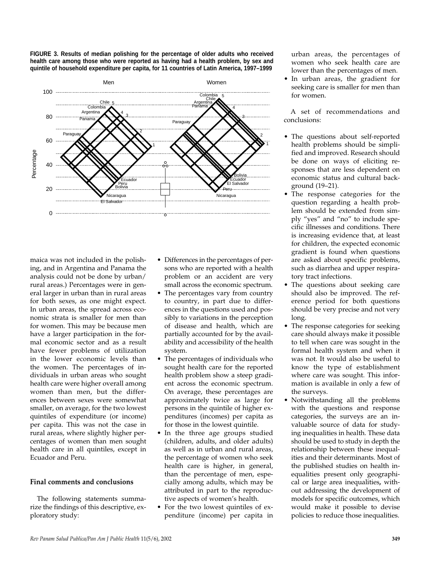**FIGURE 3. Results of median polishing for the percentage of older adults who received health care among those who were reported as having had a health problem, by sex and quintile of household expenditure per capita, for 11 countries of Latin America, 1997–1999**



maica was not included in the polishing, and in Argentina and Panama the analysis could not be done by urban/ rural areas.) Percentages were in general larger in urban than in rural areas for both sexes, as one might expect. In urban areas, the spread across economic strata is smaller for men than for women. This may be because men have a larger participation in the formal economic sector and as a result have fewer problems of utilization in the lower economic levels than the women. The percentages of individuals in urban areas who sought health care were higher overall among women than men, but the differences between sexes were somewhat smaller, on average, for the two lowest quintiles of expenditure (or income) per capita. This was not the case in rural areas, where slightly higher percentages of women than men sought health care in all quintiles, except in Ecuador and Peru.

# **Final comments and conclusions**

The following statements summarize the findings of this descriptive, exploratory study:

- Differences in the percentages of persons who are reported with a health problem or an accident are very small across the economic spectrum.
- The percentages vary from country to country, in part due to differences in the questions used and possibly to variations in the perception of disease and health, which are partially accounted for by the availability and accessibility of the health system.
- The percentages of individuals who sought health care for the reported health problem show a steep gradient across the economic spectrum. On average, these percentages are approximately twice as large for persons in the quintile of higher expenditures (incomes) per capita as for those in the lowest quintile.
- In the three age groups studied (children, adults, and older adults) as well as in urban and rural areas, the percentage of women who seek health care is higher, in general, than the percentage of men, especially among adults, which may be attributed in part to the reproductive aspects of women's health.
- For the two lowest quintiles of expenditure (income) per capita in

urban areas, the percentages of women who seek health care are lower than the percentages of men.

• In urban areas, the gradient for seeking care is smaller for men than for women.

A set of recommendations and conclusions:

- The questions about self-reported health problems should be simplified and improved. Research should be done on ways of eliciting responses that are less dependent on economic status and cultural background (19–21).
- The response categories for the question regarding a health problem should be extended from simply "yes" and "no" to include specific illnesses and conditions. There is increasing evidence that, at least for children, the expected economic gradient is found when questions are asked about specific problems, such as diarrhea and upper respiratory tract infections.
- The questions about seeking care should also be improved. The reference period for both questions should be very precise and not very long.
- The response categories for seeking care should always make it possible to tell when care was sought in the formal health system and when it was not. It would also be useful to know the type of establishment where care was sought. This information is available in only a few of the surveys.
- Notwithstanding all the problems with the questions and response categories, the surveys are an invaluable source of data for studying inequalities in health. These data should be used to study in depth the relationship between these inequalities and their determinants. Most of the published studies on health inequalities present only geographical or large area inequalities**,** without addressing the development of models for specific outcomes, which would make it possible to devise policies to reduce those inequalities.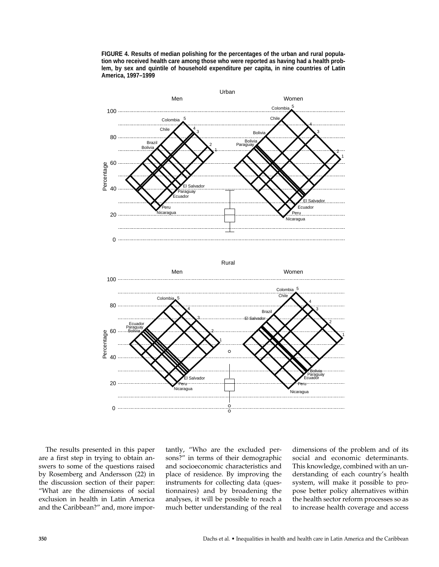**FIGURE 4. Results of median polishing for the percentages of the urban and rural population who received health care among those who were reported as having had a health problem, by sex and quintile of household expenditure per capita, in nine countries of Latin America, 1997–1999**



The results presented in this paper are a first step in trying to obtain answers to some of the questions raised by Rosemberg and Andersson (22) in the discussion section of their paper: "What are the dimensions of social exclusion in health in Latin America and the Caribbean?" and, more importantly, "Who are the excluded persons?" in terms of their demographic and socioeconomic characteristics and place of residence. By improving the instruments for collecting data (questionnaires) and by broadening the analyses, it will be possible to reach a much better understanding of the real dimensions of the problem and of its social and economic determinants. This knowledge, combined with an understanding of each country's health system, will make it possible to propose better policy alternatives within the health sector reform processes so as to increase health coverage and access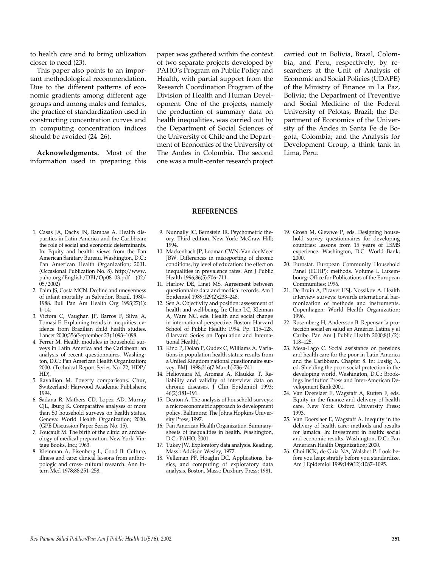to health care and to bring utilization closer to need (23).

This paper also points to an important methodological recommendation. Due to the different patterns of economic gradients among different age groups and among males and females, the practice of standardization used in constructing concentration curves and in computing concentration indices should be avoided (24–26).

**Acknowledgments.** Most of the information used in preparing this

paper was gathered within the context of two separate projects developed by PAHO's Program on Public Policy and Health, with partial support from the Research Coordination Program of the Division of Health and Human Development. One of the projects, namely the production of summary data on health inequalities, was carried out by the Department of Social Sciences of the University of Chile and the Department of Economics of the University of The Andes in Colombia. The second one was a multi-center research project

carried out in Bolivia, Brazil, Colombia, and Peru, respectively, by researchers at the Unit of Analysis of Economic and Social Policies (UDAPE) of the Ministry of Finance in La Paz, Bolivia; the Department of Preventive and Social Medicine of the Federal University of Pelotas, Brazil; the Department of Economics of the University of the Andes in Santa Fe de Bogota, Colombia; and the Analysis for Development Group, a think tank in Lima, Peru.

#### **REFERENCES**

- 1. Casas JA, Dachs JN, Bambas A. Health disparities in Latin America and the Caribbean: the role of social and economic determinants. In: Equity and health: views from the Pan American Sanitary Bureau. Washington, D.C.: Pan American Health Organization; 2001. (Occasional Publication No. 8). http:// www. paho.org/English/DBI/Op08\_03.pdf (02/  $05/2002$ )
- 2. Paim JS, Costa MCN. Decline and unevenness of infant mortality in Salvador, Brazil, 1980– 1988. Bull Pan Am Health Org 1993;27(1): 1–14.
- 3. Victora C, Vaughan JP, Barros F, Silva A, Tomasi E. Explaining trends in inequities: evidence from Brazilian child health studies. Lancet 2000;356(September 23):1093–1098.
- 4. Ferrer M. Health modules in household surveys in Latin America and the Caribbean: an analysis of recent questionnaires. Washington, D.C.: Pan American Health Organization; 2000. (Technical Report Series No. 72, HDP/ HD).
- 5. Ravallion M. Poverty comparisons. Chur, Switzerland: Harwood Academic Publishers; 1994.
- 6. Sadana R, Mathers CD, Lopez AD, Murray CJL, Iburg K. Comparative analyses of more than 50 household surveys on health status. Geneva: World Health Organization; 2000. (GPE Discussion Paper Series No. 15).
- 7. Foucault M. The birth of the clinic: an archaeology of medical preparation. New York: Vintage Books, Inc.; 1963.
- 8. Kleinman A, Eisenberg L, Good B. Culture, illness and care: clinical lessons from anthropologic and cross- cultural research. Ann Intern Med 1978;88:251–258.
- 9. Nunnally JC, Bernstein IR. Psychometric theory. Third edition. New York: McGraw Hill; 1994.
- 10. Mackenbach JP, Looman CWN, Van der Meer JBW. Differences in misreporting of chronic conditions, by level of education: the effect on inequalities in prevalence rates. Am J Public Health 1996;86(5):706–711.
- 11. Harlow DE, Linet MS. Agreement between questionnaire data and medical records. Am J Epidemiol 1989;129(2):233–248.
- 12. Sen A. Objectivity and position: assessment of health and well-being. In: Chen LC, Kleiman A, Ware NC, eds. Health and social change in international perspective. Boston: Harvard School of Public Health; 1994. Pp. 115–128. (Harvard Series on Population and International Health).
- 13. Kind P, Dolan P, Gudex C, Williams A. Variations in population health status: results from a United Kingdom national questionnaire survey. BMJ. 1998;316(7 March):736–741.
- 14. Heliovaara M, Aromaa A, Klaukka T*.* Reliability and validity of interview data on chronic diseases. J Clin Epidemiol 1993; 46(2):181–191.
- 15. Deaton A. The analysis of household surveys: a microeconometric approach to development policy. Baltimore: The Johns Hopkins University Press; 1997.
- 16. Pan American Health Organization. Summarysheets of inequalities in health. Washington, D.C.: PAHO; 2001.
- 17. Tukey JW. Exploratory data analysis. Reading, Mass.: Addison Wesley; 1977.
- 18. Velleman PF, Hoaglin DC*.* Applications, basics, and computing of exploratory data analysis. Boston, Mass.: Duxbury Press; 1981.
- 19. Grosh M, Glewwe P, eds. Designing household survey questionnaires for developing countries: lessons from 15 years of LSMS experience. Washington, D.C: World Bank; 2000.
- 20. Eurostat. European Community Household Panel (ECHP): methods. Volume I. Luxembourg: Office for Publications of the European Communities; 1996.
- 21. De Bruin A, Picavet HSJ, Nossikov A. Health interview surveys: towards international harmonization of methods and instruments. Copenhagen: World Health Organization; 1996.
- 22. Rosemberg H, Andersson B. Repensar la protección social en salud en América Latina y el Caribe. Pan Am J Public Health 2000;8(1/2): 118–125.
- 23. Mesa-Lago C. Social assistance on pensions and health care for the poor in Latin America and the Caribbean. Chapter 8. In: Lustig N, ed. Shielding the poor: social protection in the developing world. Washington, D.C.: Brookings Institution Press and Inter-American Development Bank;2001.
- 24. Van Doerslaer E, Wagstaff A, Rutten F, eds. Equity in the finance and delivery of health care. New York: Oxford University Press; 1993.
- 25. Van Doerslaer E, Wagstaff A. Inequity in the delivery of health care: methods and results for Jamaica. In: Investment in health: social and economic results. Washington, D.C.: Pan American Health Organization; 2000.
- 26. Choi BCK, de Guia NA, Walshet P. Look before you leap: stratify before you standardize. Am J Epidemiol 1999;149(12):1087–1095.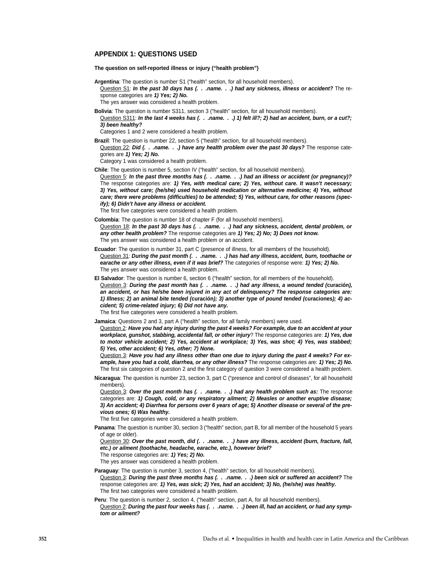#### **APPENDIX 1: QUESTIONS USED**

**The question on self-reported illness or injury ("health problem")** 

**Argentina**: The question is number S1 ("health" section, for all household members).

Question S1: **In the past 30 days has (. . .name. . .) had any sickness, illness or accident?** The response categories are **1) Yes; 2) No.**

The yes answer was considered a health problem.

**Bolivia**: The question is number S311, section 3 ("health" section, for all household members).

Question S311: **In the last 4 weeks has (. . .name. . .) 1) felt ill?; 2) had an accident, burn, or a cut?; 3) been healthy?**

Categories 1 and 2 were considered a health problem.

**Brazil**: The question is number 22, section 5 ("health" section, for all household members). Question 22: **Did (. . .name. . .) have any health problem over the past 30 days?** The response cate-

gories are **1) Yes; 2) No.**

Category 1 was considered a health problem.

**Chile**: The question is number 5, section IV ("health" section, for all household members).

Question 5: In the past three months has (. . .name. . .) had an illness or accident (or pregnancy)? The response categories are: **1) Yes, with medical care; 2) Yes, without care. It wasn't necessary; 3) Yes, without care; (he/she) used household medication or alternative medicine; 4) Yes, without care; there were problems (difficulties) to be attended; 5) Yes, without care, for other reasons (specify); 6) Didn't have any illness or accident.**

The first five categories were considered a health problem.

- **Colombia**: The question is number 18 of chapter F (for all household members). Question 18: **In the past 30 days has (. . .name. . .) had any sickness, accident, dental problem, or any other health problem?** The response categories are **1) Yes; 2) No; 3) Does not know.** The yes answer was considered a health problem or an accident.
- **Ecuador**: The question is number 31, part C (presence of illness, for all members of the household). Question 31: **During the past month (. . .name. . .) has had any illness, accident, burn, toothache or earache or any other illness, even if it was brief?** The categories of response were: **1) Yes; 2) No.** The yes answer was considered a health problem.
- **El Salvador**: The question is number 6, section 6 ("health" section, for all members of the household). Question 3: **During the past month has (. . .name. . .) had any illness, a wound tended (curación), an accident, or has he/she been injured in any act of delinquency? The response categories are: 1) Illness; 2) an animal bite tended (curación); 3) another type of pound tended (curaciones); 4) accident; 5) crime-related injury; 6) Did not have any.**

The first five categories were considered a health problem.

**Jamaica**: Questions 2 and 3, part A ("health" section, for all family members) were used.

Question 2: **Have you had any injury during the past 4 weeks? For example, due to an accident at your workplace, gunshot, stabbing, accidental fall, or other injury**? The response categories are: **1) Yes, due to motor vehicle accident; 2) Yes, accident at workplace; 3) Yes, was shot; 4) Yes, was stabbed; 5) Yes, other accident; 6) Yes, other; 7) None.**

Question 3: **Have you had any illness other than one due to injury during the past 4 weeks? For example, have you had a cold, diarrhea, or any other illness?** The response categories are: **1) Yes; 2) No.** The first six categories of question 2 and the first category of question 3 were considered a health problem.

**Nicaragua**: The question is number 23, section 3, part C ("presence and control of diseases", for all household members).

Question 3: Over the past month has (. . . name. . .) had any health problem such as: The response categories are: **1) Cough, cold, or any respiratory ailment; 2) Measles or another eruptive disease; 3) An accident; 4) Diarrhea for persons over 6 years of age; 5) Another disease or several of the previous ones; 6) Was healthy.** 

The first five categories were considered a health problem.

**Panama**: The question is number 30, section 3 ("health" section, part B, for all member of the household 5 years of age or older).

Question 30: Over the past month, did (. . .name. . .) have any illness, accident (burn, fracture, fall, **etc.) or ailment (toothache, headache, earache, etc.), however brief?**

The response categories are: **1) Yes; 2) No.**

The yes answer was considered a health problem.

- **Paraguay**: The question is number 3, section 4, ("health" section, for all household members). Question 3: **During the past three months has (. . .name. . .) been sick or suffered an accident?** The response categories are: **1) Yes, was sick; 2) Yes, had an accident; 3) No, (he/she) was healthy.** The first two categories were considered a health problem.
- Peru: The question is number 2, section 4, ("health" section, part A, for all household members). Question 2: During the past four weeks has (. . . name. . .) been ill, had an accident, or had any symp**tom or ailment?**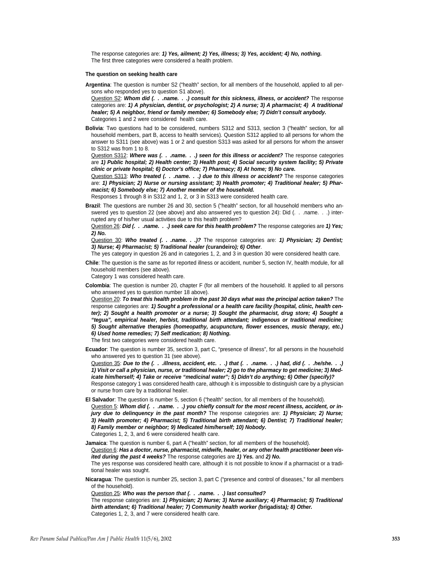The response categories are: **1) Yes, ailment; 2) Yes, illness; 3) Yes, accident; 4) No, nothing.**  The first three categories were considered a health problem.

#### **The question on seeking health care**

**Argentina**: The question is number S2 ("health" section, for all members of the household, applied to all persons who responded yes to question S1 above).

Question S2: **Whom did (. . .name. . .) consult for this sickness, illness, or accident?** The response categories are: **1) A physician, dentist, or psychologist; 2) A nurse; 3) A pharmacist; 4) A traditional healer; 5) A neighbor, friend or family member; 6) Somebody else; 7) Didn't consult anybody.** Categories 1 and 2 were considered health care.

**Bolivia**: Two questions had to be considered, numbers S312 and S313, section 3 ("health" section, for all household members, part B, access to health services). Question S312 applied to all persons for whom the answer to S311 (see above) was 1 or 2 and question S313 was asked for all persons for whom the answer to S312 was from 1 to 8.

Question S312: **Where was (. . .name. . .) seen for this illness or accident?** The response categories are **1) Public hospital; 2) Health center; 3) Health post; 4) Social security system facility; 5) Private clinic or private hospital; 6) Doctor's office; 7) Pharmacy; 8) At home; 9) No care.**

Question S313: **Who treated (. . .name. . .) due to this illness or accident?** The response categories are: **1) Physician; 2) Nurse or nursing assistant; 3) Health promoter; 4) Traditional healer; 5) Pharmacist; 6) Somebody else; 7) Another member of the household.**

Responses 1 through 8 in S312 and 1, 2, or 3 in S313 were considered health care.

**Brazil**: The questions are number 26 and 30, section 5 ("health" section, for all household members who answered yes to question 22 (see above) and also answered yes to question 24): Did (. . .name. . .) interrupted any of his/her usual activities due to this health problem?

Question 26: **Did (. . .name. . .) seek care for this health problem?** The response categories are **1) Yes; 2) No.**

Question 30: **Who treated (. . .name. . .)?** The response categories are: **1) Physician; 2) Dentist; 3) Nurse; 4) Pharmacist; 5) Traditional healer (curandeiro); 6) Other**.

The yes category in question 26 and in categories 1, 2, and 3 in question 30 were considered health care.

**Chile**: The question is the same as for reported illness or accident, number 5, section IV, health module, for all household members (see above).

Category 1 was considered health care.

**Colombia**: The question is number 20, chapter F (for all members of the household. It applied to all persons who answered yes to question number 18 above).

Question 20: **To treat this health problem in the past 30 days what was the principal action taken?** The response categories are: **1) Sought a professional or a health care facility (hospital, clinic, health center); 2) Sought a health promoter or a nurse; 3) Sought the pharmacist, drug store; 4) Sought a "tegua", empirical healer, herbist, traditional birth attendant; indigenous or traditional medicine; 5) Sought alternative therapies (homeopathy, acupuncture, flower essences, music therapy, etc.) 6) Used home remedies; 7) Self medication; 8) Nothing.** The first two categories were considered health care.

**Ecuador**: The question is number 35, section 3, part C, "presence of illness", for all persons in the household who answered yes to question 31 (see above).

Question 35: **Due to the (. . .illness, accident, etc. . .) that (. . .name. . .) had, did (. . .he/she. . .) 1) Visit or call a physician, nurse, or traditional healer; 2) go to the pharmacy to get medicine; 3) Medicate him/herself; 4) Take or receive "medicinal water"; 5) Didn't do anything; 6) Other (specify)?** Response category 1 was considered health care, although it is impossible to distinguish care by a physician or nurse from care by a traditional healer.

**El Salvador**: The question is number 5, section 6 ("health" section, for all members of the household). Question 5: Whom did (. . .name. . .) you chiefly consult for the most recent illness, accident, or in**jury due to delinquency in the past month?** The response categories are: **1) Physician; 2) Nurse; 3) Health promoter; 4) Pharmacist; 5) Traditional birth attendant; 6) Dentist; 7) Traditional healer; 8) Family member or neighbor; 9) Medicated him/herself; 10) Nobody.** Categories 1, 2, 3, and 6 were considered health care.

**Jamaica**: The question is number 6, part A ("health" section, for all members of the household). Question 6: **Has a doctor, nurse, pharmacist, midwife, healer, or any other health practitioner been visited during the past 4 weeks?** The response categories are **1) Yes.** and **2) No.** The yes response was considered health care, although it is not possible to know if a pharmacist or a traditional healer was sought.

**Nicaragua**: The question is number 25, section 3, part C ("presence and control of diseases," for all members of the household).

Question 25: **Who was the person that (. . .name. . .) last consulted?**

The response categories are: **1) Physician; 2) Nurse; 3) Nurse auxiliary; 4) Pharmacist; 5) Traditional birth attendant; 6) Traditional healer; 7) Community health worker (brigadista); 8) Other.** Categories 1, 2, 3, and 7 were considered health care.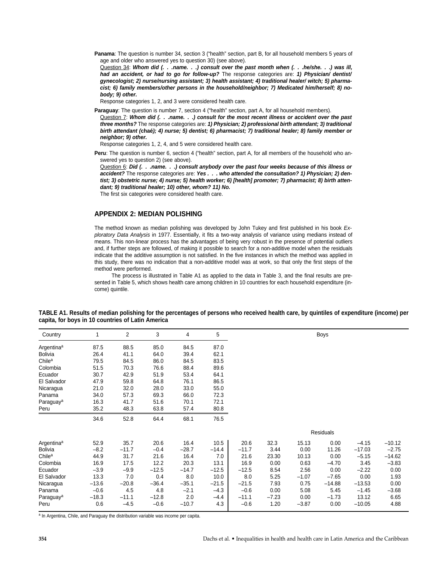Panama: The question is number 34, section 3 ("health" section, part B, for all household members 5 years of age and older who answered yes to question 30) (see above). Question 34: **Whom did (. . .name. . .) consult over the past month when (. . .he/she. . .) was ill, had an accident, or had to go for follow-up?** The response categories are: **1) Physician/ dentist/**

**gynecologist; 2) nurse/nursing assistant; 3) health assistant; 4) traditional healer/ witch; 5) pharmacist; 6) family members/other persons in the household/neighbor; 7) Medicated him/herself; 8) nobody; 9) other.**

Response categories 1, 2, and 3 were considered health care.

Paraguay: The question is number 7, section 4 ("health" section, part A, for all household members).

Question 7: **Whom did (. . .name. . .) consult for the most recent illness or accident over the past three months?** The response categories are: **1) Physician; 2) professional birth attendant; 3) traditional birth attendant (chaé); 4) nurse; 5) dentist; 6) pharmacist; 7) traditional healer; 8) family member or neighbor; 9) other.**

Response categories 1, 2, 4, and 5 were considered health care.

**Peru**: The question is number 6, section 4 ("health" section, part A, for all members of the household who answered yes to question 2) (see above).

Question 6: **Did (. . .name. . .) consult anybody over the past four weeks because of this illness or accident?** The response categories are: **Yes . . . who attended the consultation? 1) Physician; 2) dentist; 3) obstetric nurse; 4) nurse; 5) health worker; 6) [health] promoter; 7) pharmacist; 8) birth attendant; 9) traditional healer; 10) other, whom? 11) No.**

The first six categories were considered health care.

## **APPENDIX 2: MEDIAN POLISHING**

The method known as median polishing was developed by John Tukey and first published in his book Exploratory Data Analysis in 1977. Essentially, it fits a two-way analysis of variance using medians instead of means. This non-linear process has the advantages of being very robust in the presence of potential outliers and, if further steps are followed, of making it possible to search for a non-additive model when the residuals indicate that the additive assumption is not satisfied. In the five instances in which the method was applied in this study, there was no indication that a non-additive model was at work, so that only the first steps of the method were performed.

The process is illustrated in Table A1 as applied to the data in Table 3, and the final results are presented in Table 5, which shows health care among children in 10 countries for each household expenditure (income) quintile.

| Country                | 1       | 2       | 3       | 4       | 5       |         |         |         | <b>Boys</b>      |          |          |
|------------------------|---------|---------|---------|---------|---------|---------|---------|---------|------------------|----------|----------|
| Argentina <sup>a</sup> | 87.5    | 88.5    | 85.0    | 84.5    | 87.0    |         |         |         |                  |          |          |
| Bolivia                | 26.4    | 41.1    | 64.0    | 39.4    | 62.1    |         |         |         |                  |          |          |
| Chile <sup>a</sup>     | 79.5    | 84.5    | 86.0    | 84.5    | 83.5    |         |         |         |                  |          |          |
| Colombia               | 51.5    | 70.3    | 76.6    | 88.4    | 89.6    |         |         |         |                  |          |          |
| Ecuador                | 30.7    | 42.9    | 51.9    | 53.4    | 64.1    |         |         |         |                  |          |          |
| El Salvador            | 47.9    | 59.8    | 64.8    | 76.1    | 86.5    |         |         |         |                  |          |          |
| Nicaragua              | 21.0    | 32.0    | 28.0    | 33.0    | 55.0    |         |         |         |                  |          |          |
| Panama                 | 34.0    | 57.3    | 69.3    | 66.0    | 72.3    |         |         |         |                  |          |          |
| Paraguay <sup>a</sup>  | 16.3    | 41.7    | 51.6    | 70.1    | 72.1    |         |         |         |                  |          |          |
| Peru                   | 35.2    | 48.3    | 63.8    | 57.4    | 80.8    |         |         |         |                  |          |          |
|                        | 34.6    | 52.8    | 64.4    | 68.1    | 76.5    |         |         |         |                  |          |          |
|                        |         |         |         |         |         |         |         |         | <b>Residuals</b> |          |          |
| Argentina <sup>a</sup> | 52.9    | 35.7    | 20.6    | 16.4    | 10.5    | 20.6    | 32.3    | 15.13   | 0.00             | $-4.15$  | $-10.12$ |
| Bolivia                | $-8.2$  | $-11.7$ | $-0.4$  | $-28.7$ | $-14.4$ | $-11.7$ | 3.44    | 0.00    | 11.26            | $-17.03$ | $-2.75$  |
| Chile <sup>a</sup>     | 44.9    | 31.7    | 21.6    | 16.4    | 7.0     | 21.6    | 23.30   | 10.13   | 0.00             | $-5.15$  | $-14.62$ |
| Colombia               | 16.9    | 17.5    | 12.2    | 20.3    | 13.1    | 16.9    | 0.00    | 0.63    | $-4.70$          | 3.45     | $-3.83$  |
| Ecuador                | $-3.9$  | $-9.9$  | $-12.5$ | $-14.7$ | $-12.5$ | $-12.5$ | 8.54    | 2.56    | 0.00             | $-2.22$  | 0.00     |
| El Salvador            | 13.3    | 7.0     | 0.4     | 8.0     | 10.0    | 8.0     | 5.25    | $-1.07$ | $-7.65$          | 0.00     | 1.93     |
| Nicaragua              | $-13.6$ | $-20.8$ | $-36.4$ | $-35.1$ | $-21.5$ | $-21.5$ | 7.93    | 0.75    | $-14.88$         | $-13.53$ | 0.00     |
| Panama                 | $-0.6$  | 4.5     | 4.8     | $-2.1$  | $-4.3$  | $-0.6$  | 0.00    | 5.08    | 5.45             | $-1.45$  | $-3.68$  |
| Paraguay <sup>a</sup>  | $-18.3$ | $-11.1$ | $-12.8$ | 2.0     | $-4.4$  | $-11.1$ | $-7.23$ | 0.00    | $-1.73$          | 13.12    | 6.65     |
| Peru                   | 0.6     | $-4.5$  | $-0.6$  | $-10.7$ | 4.3     | $-0.6$  | 1.20    | $-3.87$ | 0.00             | $-10.05$ | 4.88     |

**TABLE A1. Results of median polishing for the percentages of persons who received health care, by quintiles of expenditure (income) per capita, for boys in 10 countries of Latin America**

a In Argentina, Chile, and Paraguay the distribution variable was income per capita.